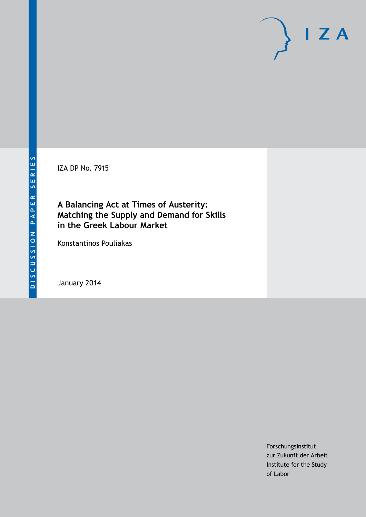IZA DP No. 7915

**A Balancing Act at Times of Austerity: Matching the Supply and Demand for Skills in the Greek Labour Market**

Konstantinos Pouliakas

January 2014

Forschungsinstitut zur Zukunft der Arbeit Institute for the Study of Labor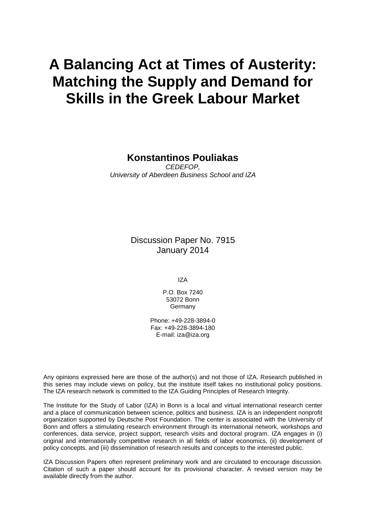# **A Balancing Act at Times of Austerity: Matching the Supply and Demand for Skills in the Greek Labour Market**

# **Konstantinos Pouliakas**

*CEDEFOP, University of Aberdeen Business School and IZA*

> Discussion Paper No. 7915 January 2014

> > IZA

P.O. Box 7240 53072 Bonn Germany

Phone: +49-228-3894-0 Fax: +49-228-3894-180 E-mail: [iza@iza.org](mailto:iza@iza.org)

Any opinions expressed here are those of the author(s) and not those of IZA. Research published in this series may include views on policy, but the institute itself takes no institutional policy positions. The IZA research network is committed to the IZA Guiding Principles of Research Integrity.

The Institute for the Study of Labor (IZA) in Bonn is a local and virtual international research center and a place of communication between science, politics and business. IZA is an independent nonprofit organization supported by Deutsche Post Foundation. The center is associated with the University of Bonn and offers a stimulating research environment through its international network, workshops and conferences, data service, project support, research visits and doctoral program. IZA engages in (i) original and internationally competitive research in all fields of labor economics, (ii) development of policy concepts, and (iii) dissemination of research results and concepts to the interested public.

<span id="page-1-0"></span>IZA Discussion Papers often represent preliminary work and are circulated to encourage discussion. Citation of such a paper should account for its provisional character. A revised version may be available directly from the author.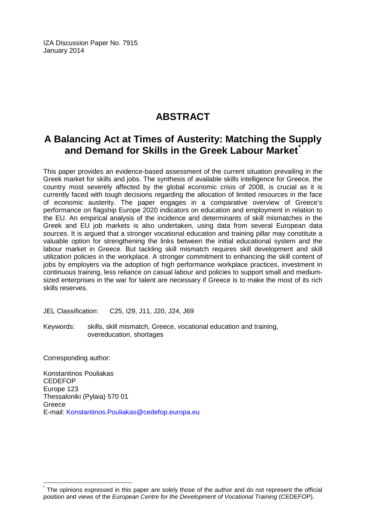IZA Discussion Paper No. 7915 January 2014

# **ABSTRACT**

# **A Balancing Act at Times of Austerity: Matching the Supply and Demand for Skills in the Greek Labour Market[\\*](#page-1-0)**

This paper provides an evidence-based assessment of the current situation prevailing in the Greek market for skills and jobs. The synthesis of available skills intelligence for Greece, the country most severely affected by the global economic crisis of 2008, is crucial as it is currently faced with tough decisions regarding the allocation of limited resources in the face of economic austerity. The paper engages in a comparative overview of Greece's performance on flagship Europe 2020 indicators on education and employment in relation to the EU. An empirical analysis of the incidence and determinants of skill mismatches in the Greek and EU job markets is also undertaken, using data from several European data sources. It is argued that a stronger vocational education and training pillar may constitute a valuable option for strengthening the links between the initial educational system and the labour market in Greece. But tackling skill mismatch requires skill development and skill utilization policies in the workplace. A stronger commitment to enhancing the skill content of jobs by employers via the adoption of high performance workplace practices, investment in continuous training, less reliance on casual labour and policies to support small and mediumsized enterprises in the war for talent are necessary if Greece is to make the most of its rich skills reserves.

JEL Classification: C25, I29, J11, J20, J24, J69

Keywords: skills, skill mismatch, Greece, vocational education and training, overeducation, shortages

Corresponding author:

Konstantinos Pouliakas CEDEFOP Europe 123 Thessaloniki (Pylaia) 570 01 Greece E-mail: [Konstantinos.Pouliakas@cedefop.europa.eu](mailto:Konstantinos.Pouliakas@cedefop.europa.eu)

The opinions expressed in this paper are solely those of the author and do not represent the official position and views of the *European Centre for the Development of Vocational Training* (CEDEFOP).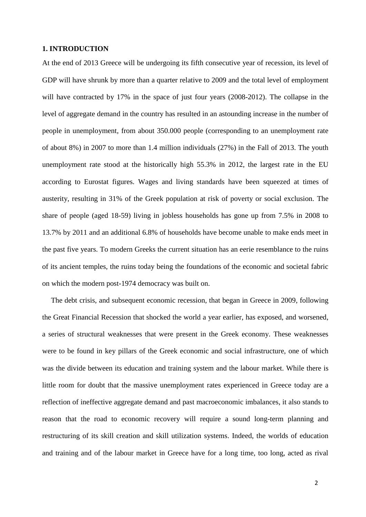#### **1. INTRODUCTION**

At the end of 2013 Greece will be undergoing its fifth consecutive year of recession, its level of GDP will have shrunk by more than a quarter relative to 2009 and the total level of employment will have contracted by 17% in the space of just four years (2008-2012). The collapse in the level of aggregate demand in the country has resulted in an astounding increase in the number of people in unemployment, from about 350.000 people (corresponding to an unemployment rate of about 8%) in 2007 to more than 1.4 million individuals (27%) in the Fall of 2013. The youth unemployment rate stood at the historically high 55.3% in 2012, the largest rate in the EU according to Eurostat figures. Wages and living standards have been squeezed at times of austerity, resulting in 31% of the Greek population at risk of poverty or social exclusion. The share of people (aged 18-59) living in jobless households has gone up from 7.5% in 2008 to 13.7% by 2011 and an additional 6.8% of households have become unable to make ends meet in the past five years. To modern Greeks the current situation has an eerie resemblance to the ruins of its ancient temples, the ruins today being the foundations of the economic and societal fabric on which the modern post-1974 democracy was built on.

The debt crisis, and subsequent economic recession, that began in Greece in 2009, following the Great Financial Recession that shocked the world a year earlier, has exposed, and worsened, a series of structural weaknesses that were present in the Greek economy. These weaknesses were to be found in key pillars of the Greek economic and social infrastructure, one of which was the divide between its education and training system and the labour market. While there is little room for doubt that the massive unemployment rates experienced in Greece today are a reflection of ineffective aggregate demand and past macroeconomic imbalances, it also stands to reason that the road to economic recovery will require a sound long-term planning and restructuring of its skill creation and skill utilization systems. Indeed, the worlds of education and training and of the labour market in Greece have for a long time, too long, acted as rival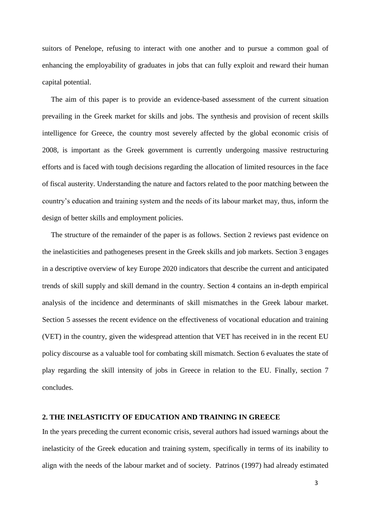suitors of Penelope, refusing to interact with one another and to pursue a common goal of enhancing the employability of graduates in jobs that can fully exploit and reward their human capital potential.

The aim of this paper is to provide an evidence-based assessment of the current situation prevailing in the Greek market for skills and jobs. The synthesis and provision of recent skills intelligence for Greece, the country most severely affected by the global economic crisis of 2008, is important as the Greek government is currently undergoing massive restructuring efforts and is faced with tough decisions regarding the allocation of limited resources in the face of fiscal austerity. Understanding the nature and factors related to the poor matching between the country's education and training system and the needs of its labour market may, thus, inform the design of better skills and employment policies.

The structure of the remainder of the paper is as follows. Section 2 reviews past evidence on the inelasticities and pathogeneses present in the Greek skills and job markets. Section 3 engages in a descriptive overview of key Europe 2020 indicators that describe the current and anticipated trends of skill supply and skill demand in the country. Section 4 contains an in-depth empirical analysis of the incidence and determinants of skill mismatches in the Greek labour market. Section 5 assesses the recent evidence on the effectiveness of vocational education and training (VET) in the country, given the widespread attention that VET has received in in the recent EU policy discourse as a valuable tool for combating skill mismatch. Section 6 evaluates the state of play regarding the skill intensity of jobs in Greece in relation to the EU. Finally, section 7 concludes.

#### **2. THE INELASTICITY OF EDUCATION AND TRAINING IN GREECE**

In the years preceding the current economic crisis, several authors had issued warnings about the inelasticity of the Greek education and training system, specifically in terms of its inability to align with the needs of the labour market and of society. Patrinos (1997) had already estimated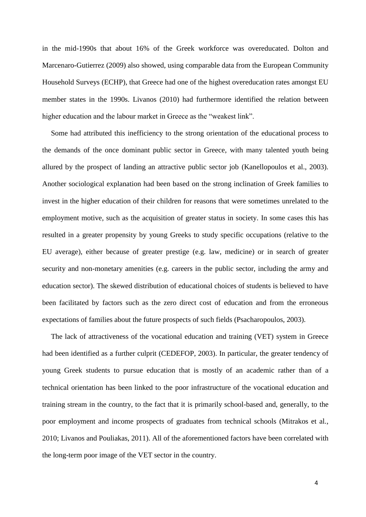in the mid-1990s that about 16% of the Greek workforce was overeducated. Dolton and Marcenaro-Gutierrez (2009) also showed, using comparable data from the European Community Household Surveys (ECHP), that Greece had one of the highest overeducation rates amongst EU member states in the 1990s. Livanos (2010) had furthermore identified the relation between higher education and the labour market in Greece as the "weakest link".

Some had attributed this inefficiency to the strong orientation of the educational process to the demands of the once dominant public sector in Greece, with many talented youth being allured by the prospect of landing an attractive public sector job (Kanellopoulos et al., 2003). Another sociological explanation had been based on the strong inclination of Greek families to invest in the higher education of their children for reasons that were sometimes unrelated to the employment motive, such as the acquisition of greater status in society. In some cases this has resulted in a greater propensity by young Greeks to study specific occupations (relative to the EU average), either because of greater prestige (e.g. law, medicine) or in search of greater security and non-monetary amenities (e.g. careers in the public sector, including the army and education sector). The skewed distribution of educational choices of students is believed to have been facilitated by factors such as the zero direct cost of education and from the erroneous expectations of families about the future prospects of such fields (Psacharopoulos, 2003).

The lack of attractiveness of the vocational education and training (VET) system in Greece had been identified as a further culprit (CEDEFOP, 2003). In particular, the greater tendency of young Greek students to pursue education that is mostly of an academic rather than of a technical orientation has been linked to the poor infrastructure of the vocational education and training stream in the country, to the fact that it is primarily school-based and, generally, to the poor employment and income prospects of graduates from technical schools (Mitrakos et al., 2010; Livanos and Pouliakas, 2011). All of the aforementioned factors have been correlated with the long-term poor image of the VET sector in the country.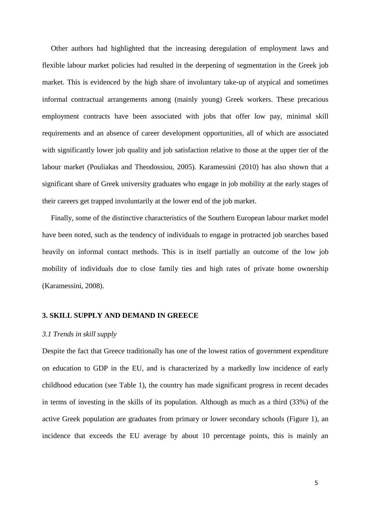Other authors had highlighted that the increasing deregulation of employment laws and flexible labour market policies had resulted in the deepening of segmentation in the Greek job market. This is evidenced by the high share of involuntary take-up of atypical and sometimes informal contractual arrangements among (mainly young) Greek workers. These precarious employment contracts have been associated with jobs that offer low pay, minimal skill requirements and an absence of career development opportunities, all of which are associated with significantly lower job quality and job satisfaction relative to those at the upper tier of the labour market (Pouliakas and Theodossiou, 2005). Karamessini (2010) has also shown that a significant share of Greek university graduates who engage in job mobility at the early stages of their careers get trapped involuntarily at the lower end of the job market.

Finally, some of the distinctive characteristics of the Southern European labour market model have been noted, such as the tendency of individuals to engage in protracted job searches based heavily on informal contact methods. This is in itself partially an outcome of the low job mobility of individuals due to close family ties and high rates of private home ownership (Karamessini, 2008).

#### **3. SKILL SUPPLY AND DEMAND IN GREECE**

#### *3.1 Trends in skill supply*

Despite the fact that Greece traditionally has one of the lowest ratios of government expenditure on education to GDP in the EU, and is characterized by a markedly low incidence of early childhood education (see Table 1), the country has made significant progress in recent decades in terms of investing in the skills of its population. Although as much as a third (33%) of the active Greek population are graduates from primary or lower secondary schools (Figure 1), an incidence that exceeds the EU average by about 10 percentage points, this is mainly an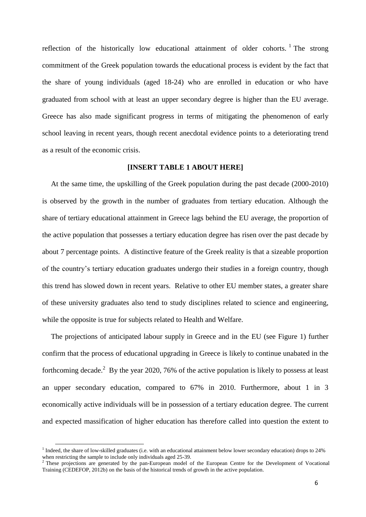reflection of the historically low educational attainment of older cohorts. <sup>1</sup> The strong commitment of the Greek population towards the educational process is evident by the fact that the share of young individuals (aged 18-24) who are enrolled in education or who have graduated from school with at least an upper secondary degree is higher than the EU average. Greece has also made significant progress in terms of mitigating the phenomenon of early school leaving in recent years, though recent anecdotal evidence points to a deteriorating trend as a result of the economic crisis.

#### **[INSERT TABLE 1 ABOUT HERE]**

At the same time, the upskilling of the Greek population during the past decade (2000-2010) is observed by the growth in the number of graduates from tertiary education. Although the share of tertiary educational attainment in Greece lags behind the EU average, the proportion of the active population that possesses a tertiary education degree has risen over the past decade by about 7 percentage points. A distinctive feature of the Greek reality is that a sizeable proportion of the country's tertiary education graduates undergo their studies in a foreign country, though this trend has slowed down in recent years. Relative to other EU member states, a greater share of these university graduates also tend to study disciplines related to science and engineering, while the opposite is true for subjects related to Health and Welfare.

The projections of anticipated labour supply in Greece and in the EU (see Figure 1) further confirm that the process of educational upgrading in Greece is likely to continue unabated in the forthcoming decade.<sup>2</sup> By the year 2020, 76% of the active population is likely to possess at least an upper secondary education, compared to 67% in 2010. Furthermore, about 1 in 3 economically active individuals will be in possession of a tertiary education degree. The current and expected massification of higher education has therefore called into question the extent to

**.** 

<sup>&</sup>lt;sup>1</sup> Indeed, the share of low-skilled graduates (i.e. with an educational attainment below lower secondary education) drops to 24% when restricting the sample to include only individuals aged 25-39.

<sup>&</sup>lt;sup>2</sup> These projections are generated by the pan-European model of the European Centre for the Development of Vocational Training (CEDEFOP, 2012b) on the basis of the historical trends of growth in the active population.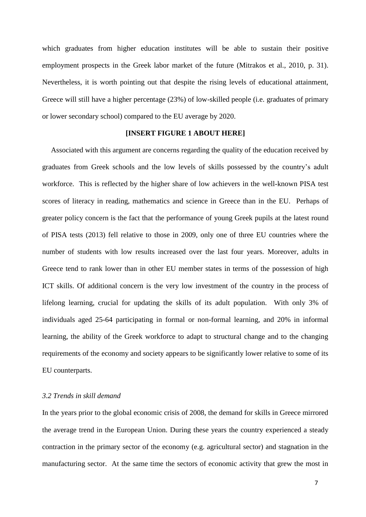which graduates from higher education institutes will be able to sustain their positive employment prospects in the Greek labor market of the future (Mitrakos et al., 2010, p. 31). Nevertheless, it is worth pointing out that despite the rising levels of educational attainment, Greece will still have a higher percentage (23%) of low-skilled people (i.e. graduates of primary or lower secondary school) compared to the EU average by 2020.

#### **[INSERT FIGURE 1 ABOUT HERE]**

Associated with this argument are concerns regarding the quality of the education received by graduates from Greek schools and the low levels of skills possessed by the country's adult workforce. This is reflected by the higher share of low achievers in the well-known PISA test scores of literacy in reading, mathematics and science in Greece than in the EU. Perhaps of greater policy concern is the fact that the performance of young Greek pupils at the latest round of PISA tests (2013) fell relative to those in 2009, only one of three EU countries where the number of students with low results increased over the last four years. Moreover, adults in Greece tend to rank lower than in other EU member states in terms of the possession of high ICT skills. Of additional concern is the very low investment of the country in the process of lifelong learning, crucial for updating the skills of its adult population. With only 3% of individuals aged 25-64 participating in formal or non-formal learning, and 20% in informal learning, the ability of the Greek workforce to adapt to structural change and to the changing requirements of the economy and society appears to be significantly lower relative to some of its EU counterparts.

#### *3.2 Trends in skill demand*

In the years prior to the global economic crisis of 2008, the demand for skills in Greece mirrored the average trend in the European Union. During these years the country experienced a steady contraction in the primary sector of the economy (e.g. agricultural sector) and stagnation in the manufacturing sector. At the same time the sectors of economic activity that grew the most in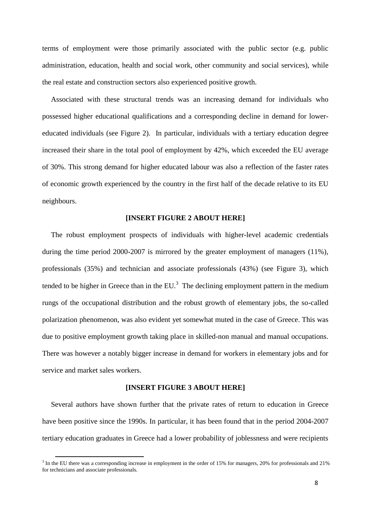terms of employment were those primarily associated with the public sector (e.g. public administration, education, health and social work, other community and social services), while the real estate and construction sectors also experienced positive growth.

Associated with these structural trends was an increasing demand for individuals who possessed higher educational qualifications and a corresponding decline in demand for lowereducated individuals (see Figure 2). In particular, individuals with a tertiary education degree increased their share in the total pool of employment by 42%, which exceeded the EU average of 30%. This strong demand for higher educated labour was also a reflection of the faster rates of economic growth experienced by the country in the first half of the decade relative to its EU neighbours.

#### **[INSERT FIGURE 2 ABOUT HERE]**

The robust employment prospects of individuals with higher-level academic credentials during the time period 2000-2007 is mirrored by the greater employment of managers (11%), professionals (35%) and technician and associate professionals (43%) (see Figure 3), which tended to be higher in Greece than in the EU.<sup>3</sup> The declining employment pattern in the medium rungs of the occupational distribution and the robust growth of elementary jobs, the so-called polarization phenomenon, was also evident yet somewhat muted in the case of Greece. This was due to positive employment growth taking place in skilled-non manual and manual occupations. There was however a notably bigger increase in demand for workers in elementary jobs and for service and market sales workers.

#### **[INSERT FIGURE 3 ABOUT HERE]**

Several authors have shown further that the private rates of return to education in Greece have been positive since the 1990s. In particular, it has been found that in the period 2004-2007 tertiary education graduates in Greece had a lower probability of joblessness and were recipients

**.** 

 $3$  In the EU there was a corresponding increase in employment in the order of 15% for managers, 20% for professionals and 21% for technicians and associate professionals.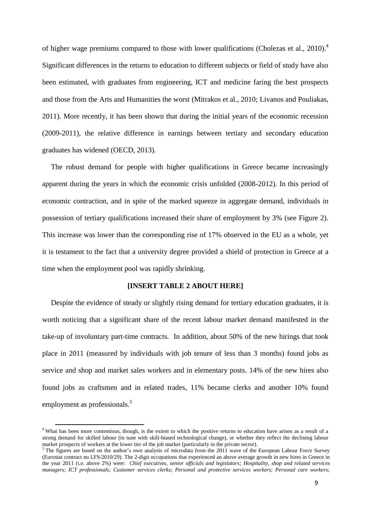of higher wage premiums compared to those with lower qualifications (Cholezas et al., 2010).<sup>4</sup> Significant differences in the returns to education to different subjects or field of study have also been estimated, with graduates from engineering, ICT and medicine faring the best prospects and those from the Arts and Humanities the worst (Mitrakos et al., 2010; Livanos and Pouliakas, 2011). More recently, it has been shown that during the initial years of the economic recession (2009-2011), the relative difference in earnings between tertiary and secondary education graduates has widened (OECD, 2013).

The robust demand for people with higher qualifications in Greece became increasingly apparent during the years in which the economic crisis unfolded (2008-2012). In this period of economic contraction, and in spite of the marked squeeze in aggregate demand, individuals in possession of tertiary qualifications increased their share of employment by 3% (see Figure 2). This increase was lower than the corresponding rise of 17% observed in the EU as a whole, yet it is testament to the fact that a university degree provided a shield of protection in Greece at a time when the employment pool was rapidly shrinking.

#### **[INSERT TABLE 2 ABOUT HERE]**

Despite the evidence of steady or slightly rising demand for tertiary education graduates, it is worth noticing that a significant share of the recent labour market demand manifested in the take-up of involuntary part-time contracts. In addition, about 50% of the new hirings that took place in 2011 (measured by individuals with job tenure of less than 3 months) found jobs as service and shop and market sales workers and in elementary posts. 14% of the new hires also found jobs as craftsmen and in related trades, 11% became clerks and another 10% found employment as professionals.<sup>5</sup>

 $\overline{a}$ 

<sup>&</sup>lt;sup>4</sup> What has been more contentious, though, is the extent to which the positive returns to education have arisen as a result of a strong demand for skilled labour (in tune with skill-biased technological change), or whether they reflect the declining labour market prospects of workers at the lower tier of the job market (particularly in the private sector).

<sup>&</sup>lt;sup>5</sup> The figures are based on the author's own analysis of microdata from the 2011 wave of the European Labour Force Survey (Eurostat contract no LFS/2010/29). The 2-digit occupations that experienced an above average growth in new hires in Greece in the year 2011 (i.e. above 2%) were: *Chief executives, senior officials and legislators; Hospitality, shop and related services managers; ICT professionals; Customer services clerks; Personal and protective services workers; Personal care workers;*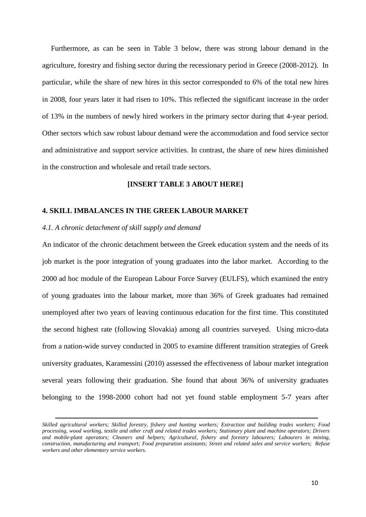Furthermore, as can be seen in Table 3 below, there was strong labour demand in the agriculture, forestry and fishing sector during the recessionary period in Greece (2008-2012). In particular, while the share of new hires in this sector corresponded to 6% of the total new hires in 2008, four years later it had risen to 10%. This reflected the significant increase in the order of 13% in the numbers of newly hired workers in the primary sector during that 4-year period. Other sectors which saw robust labour demand were the accommodation and food service sector and administrative and support service activities. In contrast, the share of new hires diminished in the construction and wholesale and retail trade sectors.

#### **[INSERT TABLE 3 ABOUT HERE]**

#### **4. SKILL IMBALANCES IN THE GREEK LABOUR MARKET**

#### *4.1. A chronic detachment of skill supply and demand*

1

An indicator of the chronic detachment between the Greek education system and the needs of its job market is the poor integration of young graduates into the labor market. According to the 2000 ad hoc module of the European Labour Force Survey (EULFS), which examined the entry of young graduates into the labour market, more than 36% of Greek graduates had remained unemployed after two years of leaving continuous education for the first time. This constituted the second highest rate (following Slovakia) among all countries surveyed. Using micro-data from a nation-wide survey conducted in 2005 to examine different transition strategies of Greek university graduates, Karamessini (2010) assessed the effectiveness of labour market integration several years following their graduation. She found that about 36% of university graduates belonging to the 1998-2000 cohort had not yet found stable employment 5-7 years after

*Skilled agricultural workers; Skilled forestry, fishery and hunting workers; Extraction and building trades workers; Food processing, wood working, textile and other craft and related trades workers; Stationary plant and machine operators; Drivers and mobile-plant operators; Cleaners and helpers; Agricultural, fishery and forestry labourers; Labourers in mining, construction, manufacturing and transport; Food preparation assistants; Street and related sales and service workers; Refuse workers and other elementary service workers*.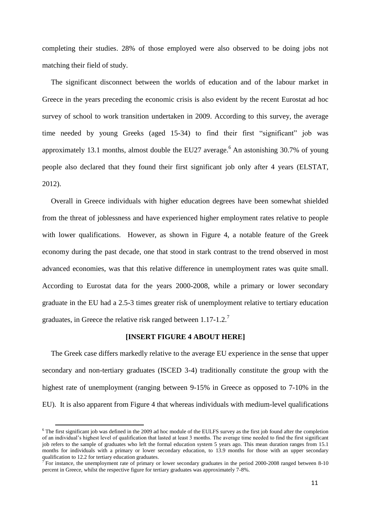completing their studies. 28% of those employed were also observed to be doing jobs not matching their field of study.

The significant disconnect between the worlds of education and of the labour market in Greece in the years preceding the economic crisis is also evident by the recent Eurostat ad hoc survey of school to work transition undertaken in 2009. According to this survey, the average time needed by young Greeks (aged 15-34) to find their first "significant" job was approximately 13.1 months, almost double the EU27 average.<sup>6</sup> An astonishing 30.7% of young people also declared that they found their first significant job only after 4 years (ELSTAT, 2012).

Overall in Greece individuals with higher education degrees have been somewhat shielded from the threat of joblessness and have experienced higher employment rates relative to people with lower qualifications. However, as shown in Figure 4, a notable feature of the Greek economy during the past decade, one that stood in stark contrast to the trend observed in most advanced economies, was that this relative difference in unemployment rates was quite small. According to Eurostat data for the years 2000-2008, while a primary or lower secondary graduate in the EU had a 2.5-3 times greater risk of unemployment relative to tertiary education graduates, in Greece the relative risk ranged between  $1.17$ - $1.2$ .<sup>7</sup>

#### **[INSERT FIGURE 4 ABOUT HERE]**

The Greek case differs markedly relative to the average EU experience in the sense that upper secondary and non-tertiary graduates (ISCED 3-4) traditionally constitute the group with the highest rate of unemployment (ranging between 9-15% in Greece as opposed to 7-10% in the EU). It is also apparent from Figure 4 that whereas individuals with medium-level qualifications

**.** 

 $6$  The first significant job was defined in the 2009 ad hoc module of the EULFS survey as the first job found after the completion of an individual's highest level of qualification that lasted at least 3 months. The average time needed to find the first significant job refers to the sample of graduates who left the formal education system 5 years ago. This mean duration ranges from 15.1 months for individuals with a primary or lower secondary education, to 13.9 months for those with an upper secondary qualification to 12.2 for tertiary education graduates.

 $\tau$  For instance, the unemployment rate of primary or lower secondary graduates in the period 2000-2008 ranged between 8-10 percent in Greece, whilst the respective figure for tertiary graduates was approximately 7-8%.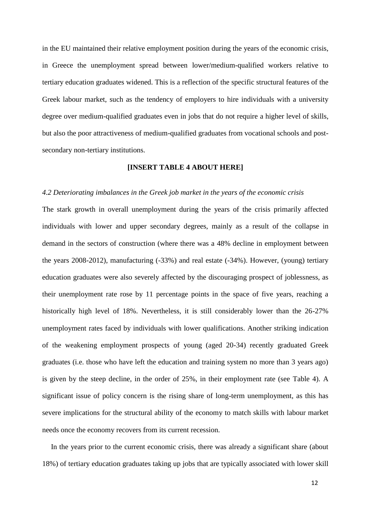in the EU maintained their relative employment position during the years of the economic crisis, in Greece the unemployment spread between lower/medium-qualified workers relative to tertiary education graduates widened. This is a reflection of the specific structural features of the Greek labour market, such as the tendency of employers to hire individuals with a university degree over medium-qualified graduates even in jobs that do not require a higher level of skills, but also the poor attractiveness of medium-qualified graduates from vocational schools and postsecondary non-tertiary institutions.

#### **[INSERT TABLE 4 ABOUT HERE]**

#### *4.2 Deteriorating imbalances in the Greek job market in the years of the economic crisis*

The stark growth in overall unemployment during the years of the crisis primarily affected individuals with lower and upper secondary degrees, mainly as a result of the collapse in demand in the sectors of construction (where there was a 48% decline in employment between the years 2008-2012), manufacturing (-33%) and real estate (-34%). However, (young) tertiary education graduates were also severely affected by the discouraging prospect of joblessness, as their unemployment rate rose by 11 percentage points in the space of five years, reaching a historically high level of 18%. Nevertheless, it is still considerably lower than the 26-27% unemployment rates faced by individuals with lower qualifications. Another striking indication of the weakening employment prospects of young (aged 20-34) recently graduated Greek graduates (i.e. those who have left the education and training system no more than 3 years ago) is given by the steep decline, in the order of 25%, in their employment rate (see Table 4). A significant issue of policy concern is the rising share of long-term unemployment, as this has severe implications for the structural ability of the economy to match skills with labour market needs once the economy recovers from its current recession.

In the years prior to the current economic crisis, there was already a significant share (about 18%) of tertiary education graduates taking up jobs that are typically associated with lower skill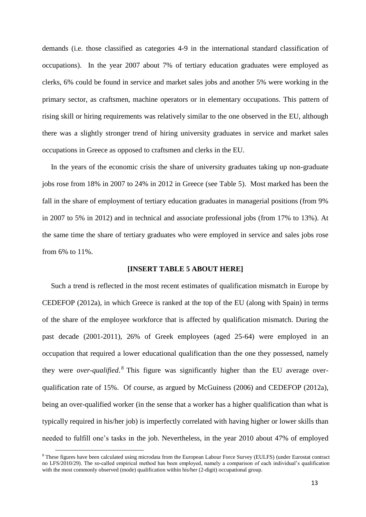demands (i.e. those classified as categories 4-9 in the international standard classification of occupations). In the year 2007 about 7% of tertiary education graduates were employed as clerks, 6% could be found in service and market sales jobs and another 5% were working in the primary sector, as craftsmen, machine operators or in elementary occupations. This pattern of rising skill or hiring requirements was relatively similar to the one observed in the EU, although there was a slightly stronger trend of hiring university graduates in service and market sales occupations in Greece as opposed to craftsmen and clerks in the EU.

In the years of the economic crisis the share of university graduates taking up non-graduate jobs rose from 18% in 2007 to 24% in 2012 in Greece (see Table 5). Most marked has been the fall in the share of employment of tertiary education graduates in managerial positions (from 9% in 2007 to 5% in 2012) and in technical and associate professional jobs (from 17% to 13%). At the same time the share of tertiary graduates who were employed in service and sales jobs rose from 6% to 11%.

#### **[INSERT TABLE 5 ABOUT HERE]**

Such a trend is reflected in the most recent estimates of qualification mismatch in Europe by CEDEFOP (2012a), in which Greece is ranked at the top of the EU (along with Spain) in terms of the share of the employee workforce that is affected by qualification mismatch. During the past decade (2001-2011), 26% of Greek employees (aged 25-64) were employed in an occupation that required a lower educational qualification than the one they possessed, namely they were *over-qualified*. 8 This figure was significantly higher than the EU average overqualification rate of 15%. Of course, as argued by McGuiness (2006) and CEDEFOP (2012a), being an over-qualified worker (in the sense that a worker has a higher qualification than what is typically required in his/her job) is imperfectly correlated with having higher or lower skills than needed to fulfill one's tasks in the job. Nevertheless, in the year 2010 about 47% of employed

 $\overline{a}$ 

<sup>8</sup> These figures have been calculated using microdata from the European Labour Force Survey (EULFS) (under Eurostat contract no LFS/2010/29). The so-called empirical method has been employed, namely a comparison of each individual's qualification with the most commonly observed (mode) qualification within his/her (2-digit) occupational group.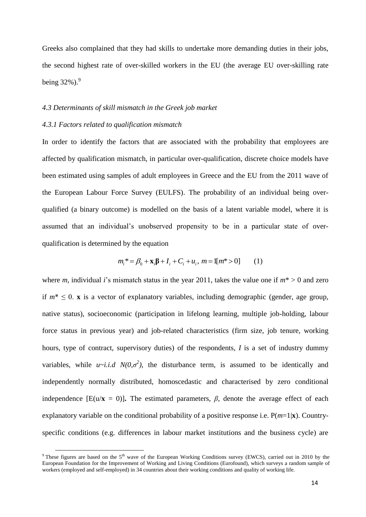Greeks also complained that they had skills to undertake more demanding duties in their jobs, the second highest rate of over-skilled workers in the EU (the average EU over-skilling rate being  $32\%$ ).<sup>9</sup>

#### *4.3 Determinants of skill mismatch in the Greek job market*

#### *4.3.1 Factors related to qualification mismatch*

 $\overline{a}$ 

In order to identify the factors that are associated with the probability that employees are affected by qualification mismatch, in particular over-qualification, discrete choice models have been estimated using samples of adult employees in Greece and the EU from the 2011 wave of the European Labour Force Survey (EULFS). The probability of an individual being overqualified (a binary outcome) is modelled on the basis of a latent variable model, where it is assumed that an individual's unobserved propensity to be in a particular state of overqualification is determined by the equation

$$
m_i^* = \beta_0 + \mathbf{x}_i \mathbf{\beta} + I_i + C_i + u_i, \ m = 1[m^* > 0] \ (1)
$$

where *m*, individual *i*'s mismatch status in the year 2011, takes the value one if  $m^* > 0$  and zero if  $m^* \leq 0$ . **x** is a vector of explanatory variables, including demographic (gender, age group, native status), socioeconomic (participation in lifelong learning, multiple job-holding, labour force status in previous year) and job-related characteristics (firm size, job tenure, working hours, type of contract, supervisory duties) of the respondents, *I* is a set of industry dummy variables, while  $u \sim i.i.d$   $N(0,\sigma^2)$ , the disturbance term, is assumed to be identically and independently normally distributed, homoscedastic and characterised by zero conditional independence  $[E(u/\mathbf{x} = 0)]$ . The estimated parameters,  $\beta$ , denote the average effect of each explanatory variable on the conditional probability of a positive response i.e.  $P(m=1|\mathbf{x})$ . Countryspecific conditions (e.g. differences in labour market institutions and the business cycle) are

<sup>&</sup>lt;sup>9</sup> These figures are based on the  $5<sup>th</sup>$  wave of the European Working Conditions survey (EWCS), carried out in 2010 by the European Foundation for the Improvement of Working and Living Conditions (Eurofound), which surveys a random sample of workers (employed and self-employed) in 34 countries about their working conditions and quality of working life.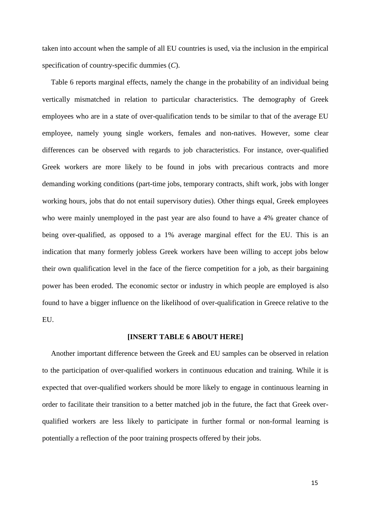taken into account when the sample of all EU countries is used, via the inclusion in the empirical specification of country-specific dummies (*C*).

Table 6 reports marginal effects, namely the change in the probability of an individual being vertically mismatched in relation to particular characteristics. The demography of Greek employees who are in a state of over-qualification tends to be similar to that of the average EU employee, namely young single workers, females and non-natives. However, some clear differences can be observed with regards to job characteristics. For instance, over-qualified Greek workers are more likely to be found in jobs with precarious contracts and more demanding working conditions (part-time jobs, temporary contracts, shift work, jobs with longer working hours, jobs that do not entail supervisory duties). Other things equal, Greek employees who were mainly unemployed in the past year are also found to have a 4% greater chance of being over-qualified, as opposed to a 1% average marginal effect for the EU. This is an indication that many formerly jobless Greek workers have been willing to accept jobs below their own qualification level in the face of the fierce competition for a job, as their bargaining power has been eroded. The economic sector or industry in which people are employed is also found to have a bigger influence on the likelihood of over-qualification in Greece relative to the EU.

#### **[INSERT TABLE 6 ABOUT HERE]**

Another important difference between the Greek and EU samples can be observed in relation to the participation of over-qualified workers in continuous education and training. While it is expected that over-qualified workers should be more likely to engage in continuous learning in order to facilitate their transition to a better matched job in the future, the fact that Greek overqualified workers are less likely to participate in further formal or non-formal learning is potentially a reflection of the poor training prospects offered by their jobs.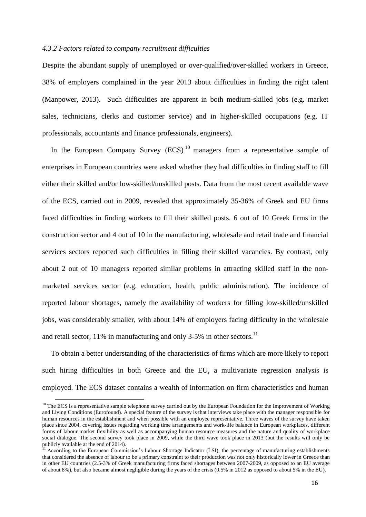#### *4.3.2 Factors related to company recruitment difficulties*

Despite the abundant supply of unemployed or over-qualified/over-skilled workers in Greece, 38% of employers complained in the year 2013 about difficulties in finding the right talent (Manpower, 2013). Such difficulties are apparent in both medium-skilled jobs (e.g. market sales, technicians, clerks and customer service) and in higher-skilled occupations (e.g. IT professionals, accountants and finance professionals, engineers).

In the European Company Survey  $(ECS)^{10}$  managers from a representative sample of enterprises in European countries were asked whether they had difficulties in finding staff to fill either their skilled and/or low-skilled/unskilled posts. Data from the most recent available wave of the ECS, carried out in 2009, revealed that approximately 35-36% of Greek and EU firms faced difficulties in finding workers to fill their skilled posts. 6 out of 10 Greek firms in the construction sector and 4 out of 10 in the manufacturing, wholesale and retail trade and financial services sectors reported such difficulties in filling their skilled vacancies. By contrast, only about 2 out of 10 managers reported similar problems in attracting skilled staff in the nonmarketed services sector (e.g. education, health, public administration). The incidence of reported labour shortages, namely the availability of workers for filling low-skilled/unskilled jobs, was considerably smaller, with about 14% of employers facing difficulty in the wholesale and retail sector,  $11\%$  in manufacturing and only 3-5% in other sectors.<sup>11</sup>

To obtain a better understanding of the characteristics of firms which are more likely to report such hiring difficulties in both Greece and the EU, a multivariate regression analysis is employed. The ECS dataset contains a wealth of information on firm characteristics and human

**.** 

 $10$  The ECS is a representative sample telephone survey carried out by the European Foundation for the Improvement of Working and Living Conditions (Eurofound). A special feature of the survey is that interviews take place with the manager responsible for human resources in the establishment and when possible with an employee representative. Three waves of the survey have taken place since 2004, covering issues regarding working time arrangements and work-life balance in European workplaces, different forms of labour market flexibility as well as accompanying human resource measures and the nature and quality of workplace social dialogue. The second survey took place in 2009, while the third wave took place in 2013 (but the results will only be publicly available at the end of 2014).

 $11$  According to the European Commission's Labour Shortage Indicator (LSI), the percentage of manufacturing establishments that considered the absence of labour to be a primary constraint to their production was not only historically lower in Greece than in other EU countries (2.5-3% of Greek manufacturing firms faced shortages between 2007-2009, as opposed to an EU average of about 8%), but also became almost negligible during the years of the crisis (0.5% in 2012 as opposed to about 5% in the EU).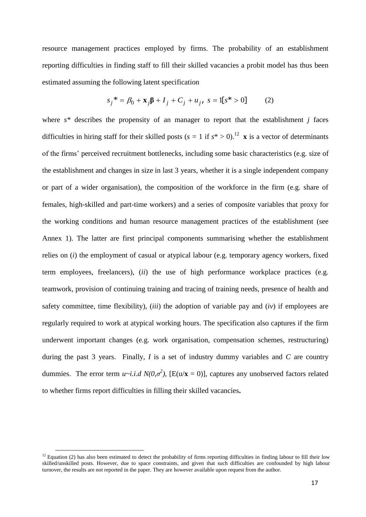resource management practices employed by firms. The probability of an establishment reporting difficulties in finding staff to fill their skilled vacancies a probit model has thus been estimated assuming the following latent specification

$$
s_j^* = \beta_0 + \mathbf{x}_j \mathbf{\beta} + I_j + C_j + u_j, \ s = 1[s^* > 0] \qquad (2)
$$

where *s\** describes the propensity of an manager to report that the establishment *j* faces difficulties in hiring staff for their skilled posts ( $s = 1$  if  $s^* > 0$ ).<sup>12</sup> **x** is a vector of determinants of the firms' perceived recruitment bottlenecks, including some basic characteristics (e.g. size of the establishment and changes in size in last 3 years, whether it is a single independent company or part of a wider organisation), the composition of the workforce in the firm (e.g. share of females, high-skilled and part-time workers) and a series of composite variables that proxy for the working conditions and human resource management practices of the establishment (see Annex 1). The latter are first principal components summarising whether the establishment relies on (*i*) the employment of casual or atypical labour (e.g. temporary agency workers, fixed term employees, freelancers), (*ii*) the use of high performance workplace practices (e.g. teamwork, provision of continuing training and tracing of training needs, presence of health and safety committee, time flexibility), (*iii*) the adoption of variable pay and (*iv*) if employees are regularly required to work at atypical working hours. The specification also captures if the firm underwent important changes (e.g. work organisation, compensation schemes, restructuring) during the past 3 years. Finally, *I* is a set of industry dummy variables and *C* are country dummies. The error term  $u \sim i.i.d$   $N(0, \sigma^2)$ , [E(u/**x** = 0)], captures any unobserved factors related to whether firms report difficulties in filling their skilled vacancies**.** 

 $\overline{a}$ 

 $12$  Equation (2) has also been estimated to detect the probability of firms reporting difficulties in finding labour to fill their low skilled/unskilled posts. However, due to space constraints, and given that such difficulties are confounded by high labour turnover, the results are not reported in the paper. They are however available upon request from the author.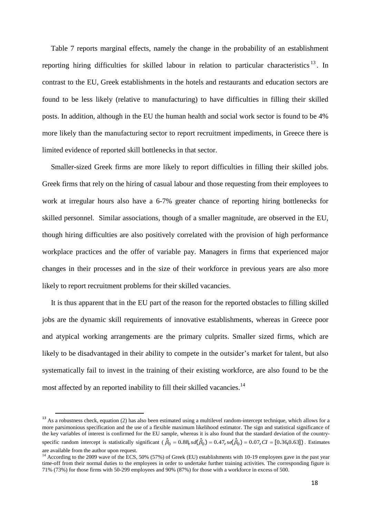Table 7 reports marginal effects, namely the change in the probability of an establishment reporting hiring difficulties for skilled labour in relation to particular characteristics<sup>13</sup>. In contrast to the EU, Greek establishments in the hotels and restaurants and education sectors are found to be less likely (relative to manufacturing) to have difficulties in filling their skilled posts. In addition, although in the EU the human health and social work sector is found to be 4% more likely than the manufacturing sector to report recruitment impediments, in Greece there is limited evidence of reported skill bottlenecks in that sector.

Smaller-sized Greek firms are more likely to report difficulties in filling their skilled jobs. Greek firms that rely on the hiring of casual labour and those requesting from their employees to work at irregular hours also have a 6-7% greater chance of reporting hiring bottlenecks for skilled personnel. Similar associations, though of a smaller magnitude, are observed in the EU, though hiring difficulties are also positively correlated with the provision of high performance workplace practices and the offer of variable pay. Managers in firms that experienced major changes in their processes and in the size of their workforce in previous years are also more likely to report recruitment problems for their skilled vacancies.

It is thus apparent that in the EU part of the reason for the reported obstacles to filling skilled jobs are the dynamic skill requirements of innovative establishments, whereas in Greece poor and atypical working arrangements are the primary culprits. Smaller sized firms, which are likely to be disadvantaged in their ability to compete in the outsider's market for talent, but also systematically fail to invest in the training of their existing workforce, are also found to be the most affected by an reported inability to fill their skilled vacancies.<sup>14</sup>

1

 $13$  As a robustness check, equation (2) has also been estimated using a multilevel random-intercept technique, which allows for a more parsimonious specification and the use of a flexible maximum likelihood estimator. The sign and statistical significance of the key variables of interest is confirmed for the EU sample, whereas it is also found that the standard deviation of the countryspecific random intercept is statistically significant ( $\hat{\beta}_0 = 0.88$ ,  $sd(\hat{\beta}_0) = 0.47$ ,  $sd(\hat{\beta}_0) = 0.07$ ,  $CI = [0.36, 0.63]$ ). Estimates are available from the author upon request.

<sup>&</sup>lt;sup>14</sup> According to the 2009 wave of the ECS, 50% (57%) of Greek (EU) establishments with 10-19 employees gave in the past year time-off from their normal duties to the employees in order to undertake further training activities. The corresponding figure is 71% (73%) for those firms with 50-299 employees and 90% (87%) for those with a workforce in excess of 500.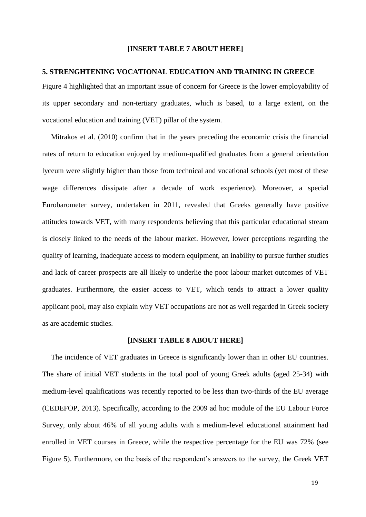#### **[INSERT TABLE 7 ABOUT HERE]**

#### **5. STRENGHTENING VOCATIONAL EDUCATION AND TRAINING IN GREECE**

Figure 4 highlighted that an important issue of concern for Greece is the lower employability of its upper secondary and non-tertiary graduates, which is based, to a large extent, on the vocational education and training (VET) pillar of the system.

Mitrakos et al. (2010) confirm that in the years preceding the economic crisis the financial rates of return to education enjoyed by medium-qualified graduates from a general orientation lyceum were slightly higher than those from technical and vocational schools (yet most of these wage differences dissipate after a decade of work experience). Moreover, a special Eurobarometer survey, undertaken in 2011, revealed that Greeks generally have positive attitudes towards VET, with many respondents believing that this particular educational stream is closely linked to the needs of the labour market. However, lower perceptions regarding the quality of learning, inadequate access to modern equipment, an inability to pursue further studies and lack of career prospects are all likely to underlie the poor labour market outcomes of VET graduates. Furthermore, the easier access to VET, which tends to attract a lower quality applicant pool, may also explain why VET occupations are not as well regarded in Greek society as are academic studies.

#### **[INSERT TABLE 8 ABOUT HERE]**

The incidence of VET graduates in Greece is significantly lower than in other EU countries. The share of initial VET students in the total pool of young Greek adults (aged 25-34) with medium-level qualifications was recently reported to be less than two-thirds of the EU average (CEDEFOP, 2013). Specifically, according to the 2009 ad hoc module of the EU Labour Force Survey, only about 46% of all young adults with a medium-level educational attainment had enrolled in VET courses in Greece, while the respective percentage for the EU was 72% (see Figure 5). Furthermore, on the basis of the respondent's answers to the survey, the Greek VET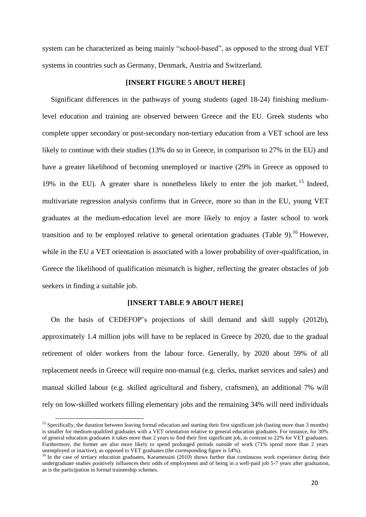system can be characterized as being mainly "school-based", as opposed to the strong dual VET systems in countries such as Germany, Denmark, Austria and Switzerland.

#### **[INSERT FIGURE 5 ABOUT HERE]**

Significant differences in the pathways of young students (aged 18-24) finishing mediumlevel education and training are observed between Greece and the EU. Greek students who complete upper secondary or post-secondary non-tertiary education from a VET school are less likely to continue with their studies (13% do so in Greece, in comparison to 27% in the EU) and have a greater likelihood of becoming unemployed or inactive (29% in Greece as opposed to 19% in the EU). A greater share is nonetheless likely to enter the job market.<sup>15</sup> Indeed, multivariate regression analysis confirms that in Greece, more so than in the EU, young VET graduates at the medium-education level are more likely to enjoy a faster school to work transition and to be employed relative to general orientation graduates (Table 9).<sup>16</sup> However, while in the EU a VET orientation is associated with a lower probability of over-qualification, in Greece the likelihood of qualification mismatch is higher, reflecting the greater obstacles of job seekers in finding a suitable job.

#### **[INSERT TABLE 9 ABOUT HERE]**

On the basis of CEDEFOP's projections of skill demand and skill supply (2012b), approximately 1.4 million jobs will have to be replaced in Greece by 2020, due to the gradual retirement of older workers from the labour force. Generally, by 2020 about 59% of all replacement needs in Greece will require non-manual (e.g. clerks, market services and sales) and manual skilled labour (e.g. skilled agricultural and fishery, craftsmen), an additional 7% will rely on low-skilled workers filling elementary jobs and the remaining 34% will need individuals

 $\overline{a}$ 

<sup>&</sup>lt;sup>15</sup> Specifically, the duration between leaving formal education and starting their first significant job (lasting more than 3 months) is smaller for medium-qualified graduates with a VET orientation relative to general education graduates. For instance, for 30% of general education graduates it takes more than 2 years to find their first significant job, in contrast to 22% for VET graduates. Furthermore, the former are also more likely to spend prolonged periods outside of work (71% spend more than 2 years unemployed or inactive), as opposed to VET graduates (the corresponding figure is 54%).

 $16$  In the case of tertiary education graduates, Karamessini (2010) shows further that continuous work experience during their undergraduate studies positively influences their odds of employment and of being in a well-paid job 5-7 years after graduation, as is the participation in formal traineeship schemes.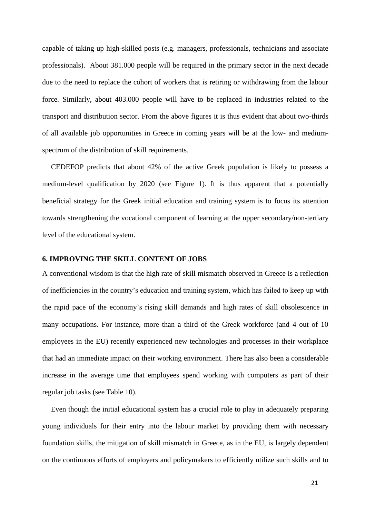capable of taking up high-skilled posts (e.g. managers, professionals, technicians and associate professionals). About 381.000 people will be required in the primary sector in the next decade due to the need to replace the cohort of workers that is retiring or withdrawing from the labour force. Similarly, about 403.000 people will have to be replaced in industries related to the transport and distribution sector. From the above figures it is thus evident that about two-thirds of all available job opportunities in Greece in coming years will be at the low- and mediumspectrum of the distribution of skill requirements.

CEDEFOP predicts that about 42% of the active Greek population is likely to possess a medium-level qualification by 2020 (see Figure 1). It is thus apparent that a potentially beneficial strategy for the Greek initial education and training system is to focus its attention towards strengthening the vocational component of learning at the upper secondary/non-tertiary level of the educational system.

### **6. IMPROVING THE SKILL CONTENT OF JOBS**

A conventional wisdom is that the high rate of skill mismatch observed in Greece is a reflection of inefficiencies in the country's education and training system, which has failed to keep up with the rapid pace of the economy's rising skill demands and high rates of skill obsolescence in many occupations. For instance, more than a third of the Greek workforce (and 4 out of 10 employees in the EU) recently experienced new technologies and processes in their workplace that had an immediate impact on their working environment. There has also been a considerable increase in the average time that employees spend working with computers as part of their regular job tasks (see Table 10).

Even though the initial educational system has a crucial role to play in adequately preparing young individuals for their entry into the labour market by providing them with necessary foundation skills, the mitigation of skill mismatch in Greece, as in the EU, is largely dependent on the continuous efforts of employers and policymakers to efficiently utilize such skills and to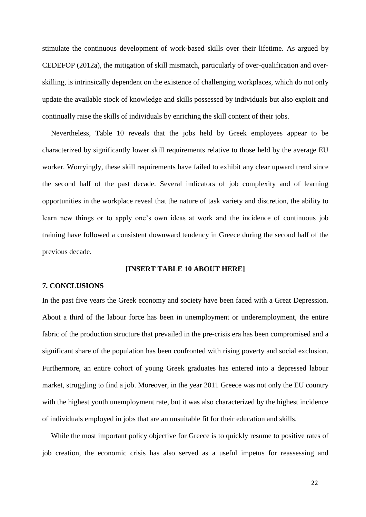stimulate the continuous development of work-based skills over their lifetime. As argued by CEDEFOP (2012a), the mitigation of skill mismatch, particularly of over-qualification and overskilling, is intrinsically dependent on the existence of challenging workplaces, which do not only update the available stock of knowledge and skills possessed by individuals but also exploit and continually raise the skills of individuals by enriching the skill content of their jobs.

Nevertheless, Table 10 reveals that the jobs held by Greek employees appear to be characterized by significantly lower skill requirements relative to those held by the average EU worker. Worryingly, these skill requirements have failed to exhibit any clear upward trend since the second half of the past decade. Several indicators of job complexity and of learning opportunities in the workplace reveal that the nature of task variety and discretion, the ability to learn new things or to apply one's own ideas at work and the incidence of continuous job training have followed a consistent downward tendency in Greece during the second half of the previous decade.

#### **[INSERT TABLE 10 ABOUT HERE]**

### **7. CONCLUSIONS**

In the past five years the Greek economy and society have been faced with a Great Depression. About a third of the labour force has been in unemployment or underemployment, the entire fabric of the production structure that prevailed in the pre-crisis era has been compromised and a significant share of the population has been confronted with rising poverty and social exclusion. Furthermore, an entire cohort of young Greek graduates has entered into a depressed labour market, struggling to find a job. Moreover, in the year 2011 Greece was not only the EU country with the highest youth unemployment rate, but it was also characterized by the highest incidence of individuals employed in jobs that are an unsuitable fit for their education and skills.

While the most important policy objective for Greece is to quickly resume to positive rates of job creation, the economic crisis has also served as a useful impetus for reassessing and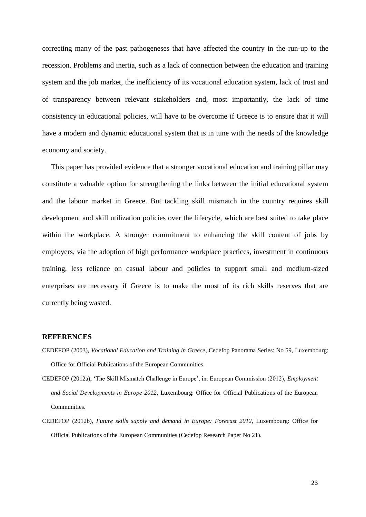correcting many of the past pathogeneses that have affected the country in the run-up to the recession. Problems and inertia, such as a lack of connection between the education and training system and the job market, the inefficiency of its vocational education system, lack of trust and of transparency between relevant stakeholders and, most importantly, the lack of time consistency in educational policies, will have to be overcome if Greece is to ensure that it will have a modern and dynamic educational system that is in tune with the needs of the knowledge economy and society.

This paper has provided evidence that a stronger vocational education and training pillar may constitute a valuable option for strengthening the links between the initial educational system and the labour market in Greece. But tackling skill mismatch in the country requires skill development and skill utilization policies over the lifecycle, which are best suited to take place within the workplace. A stronger commitment to enhancing the skill content of jobs by employers, via the adoption of high performance workplace practices, investment in continuous training, less reliance on casual labour and policies to support small and medium-sized enterprises are necessary if Greece is to make the most of its rich skills reserves that are currently being wasted.

#### **REFERENCES**

- CEDEFOP (2003), *Vocational Education and Training in Greece*, Cedefop Panorama Series: No 59, Luxembourg: Office for Official Publications of the European Communities.
- CEDEFOP (2012a), 'The Skill Mismatch Challenge in Europe', in: European Commission (2012), *Employment and Social Developments in Europe 2012*, Luxembourg: Office for Official Publications of the European Communities.
- CEDEFOP (2012b), *Future skills supply and demand in Europe: Forecast 2012*, Luxembourg: Office for Official Publications of the European Communities (Cedefop Research Paper No 21).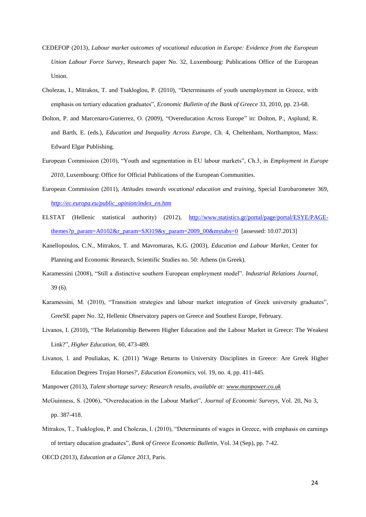- CEDEFOP (2013), *Labour market outcomes of vocational education in Europe: Evidence from the European Union Labour Force Survey*, Research paper No. 32, Luxembourg: Publications Office of the European Union.
- Cholezas, I., Mitrakos, T. and Tsakloglou, P. (2010), "Determinants of youth unemployment in Greece, with emphasis on tertiary education graduates", *Economic Bulletin of the Bank of Greece* 33, 2010, pp. 23-68.
- Dolton, P. and Marcenaro-Gutierrez, O. (2009), "Overeducation Across Europe" in: Dolton, P., Asplund, R. and Barth, E. (eds.), *Education and Inequality Across Europe*, Ch. 4, Cheltenham, Northampton, Mass: Edward Elgar Publishing.
- European Commission (2010), "Youth and segmentation in EU labour markets", Ch.3, in *Employment in Europe*  2010, Luxembourg: Office for Official Publications of the European Communities.
- European Commission (2011), *Attitudes towards vocational education and training*, Special Eurobarometer 369, *http://ec.europa.eu/public\_opinion/index\_en.htm*
- ELSTAT (Hellenic statistical authority) (2012), [http://www.statistics.gr/portal/page/portal/ESYE/PAGE](http://www.statistics.gr/portal/page/portal/ESYE/PAGE-themes?p_param=A0102&r_param=SJO19&y_param=2009_00&mytabs=0)[themes?p\\_param=A0102&r\\_param=SJO19&y\\_param=2009\\_00&mytabs=0](http://www.statistics.gr/portal/page/portal/ESYE/PAGE-themes?p_param=A0102&r_param=SJO19&y_param=2009_00&mytabs=0) [assessed: 10.07.2013]
- Kanellopoulos, C.N., Mitrakos, T. and Mavromaras, K.G. (2003), *Education and Labour Market*, Center for Planning and Economic Research, Scientific Studies no. 50: Athens (in Greek).
- Karamessini (2008), "Still a distinctive southern European employment model". *Industrial Relations Journal*, 39 (6).
- Karamessini, M. (2010), "Transition strategies and labour market integration of Greek university graduates", GreeSE paper No. 32, Hellenic Observatory papers on Greece and Southest Europe, February.
- Livanos, I. (2010), "The Relationship Between Higher Education and the Labour Market in Greece: The Weakest Link?", *Higher Education,* 60, 473-489.
- Livanos, l. and Pouliakas, K. (2011) 'Wage Returns to University Disciplines in Greece: Are Greek Higher Education Degrees Trojan Horses?', *Education Economics*, vol. 19, no. 4, pp. 411-445.
- Manpower (2013), *Talent shortage survey: Research results, available at: [www.manpower.co.uk](http://www.manpower.co.uk/)*
- McGuinness, S. (2006), "Overeducation in the Labour Market", *Journal of Economic Surveys*, Vol. 20, No 3, pp. 387-418.
- Mitrakos, T., Tsakloglou, P. and Cholezas, I. (2010), "Determinants of wages in Greece, with emphasis on earnings of tertiary education graduates", *Bank of Greece Economic Bulletin*, Vol. 34 (Sep), pp. 7-42. OECD (2013), *Education at a Glance 2013*, Paris.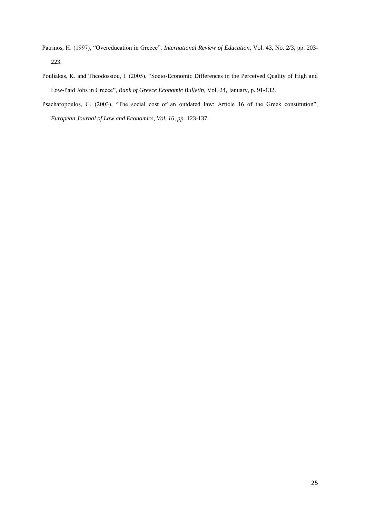- Patrinos, H. (1997), "Overeducation in Greece", *International Review of Education*, Vol. 43, No. 2/3, pp. 203- 223.
- Pouliakas, K. and Theodossiou, I. (2005), "Socio-Economic Differences in the Perceived Quality of High and Low-Paid Jobs in Greece", *Bank of Greece Economic Bulletin*, Vol. 24, January, p. 91-132.
- Psacharopoulos, G. (2003), "The social cost of an outdated law: Article 16 of the Greek constitution", *European Journal of Law and Economics, Vol. 16, pp.* 123-137*.*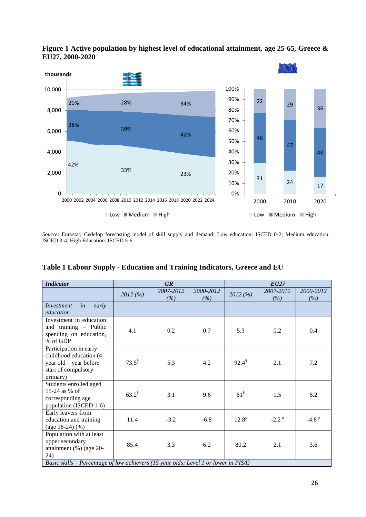

**Figure 1 Active population by highest level of educational attainment, age 25-65, Greece & EU27, 2000-2020**

*Source*: Eurostat; Cedefop forecasting model of skill supply and demand; Low education: ISCED 0-2; Medium education: ISCED 3-4; High Education: ISCED 5-6.

| <b>Indicator</b>                                                                                              |                      | <b>GR</b>        |                  | <b>EU27</b>        |                  |                  |
|---------------------------------------------------------------------------------------------------------------|----------------------|------------------|------------------|--------------------|------------------|------------------|
|                                                                                                               | 2012(%)              | 2007-2012<br>(%) | 2000-2012<br>(%) | 2012(%)            | 2007-2012<br>(%) | 2000-2012<br>(%) |
| in<br>Investment<br>early<br>education                                                                        |                      |                  |                  |                    |                  |                  |
| Investment in education<br>and training - Public<br>spending on education,<br>% of GDP                        | 4.1                  | 0.2              | 0.7              | 5.3                | 0.2              | 0.4              |
| Participation in early<br>childhood education (4<br>year old - year before<br>start of compulsory<br>primary) | $73.5^{\frac{8}{3}}$ | 5.3              | 4.2              | $92.4^{\$}$        | 2.1              | 7.2              |
| Students enrolled aged<br>15-24 as % of<br>corresponding age<br>population (ISCED 1-6)                        | $63.2^{\$}$          | 3.1              | 9.6              | $61^{\frac{8}{3}}$ | 1.5              | 6.2              |
| Early leavers from<br>education and training<br>(age $18-24$ ) (%)                                            | 11.4                 | $-3.2$           | $-6.8$           | $12.8^{p}$         | $-2.2P$          | $-4.8P$          |
| Population with at least<br>upper secondary<br>attainment $(\%)$ (age 20-<br>24)                              | 85.4                 | 3.3              | 6.2              | 80.2               | 2.1              | 3.6              |
| Basic skills – Percentage of low achievers (15 year olds; Level 1 or lower in PISA)                           |                      |                  |                  |                    |                  |                  |

**Table 1 Labour Supply - Education and Training Indicators, Greece and EU**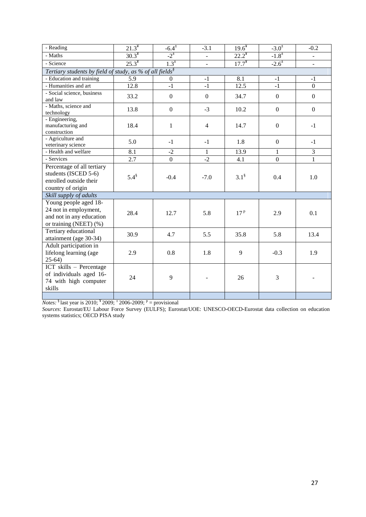| - Reading                                                                                            | $21.3^*$   | $-6.4^{\pm}$     | $-3.1$         | $19.6^{*}$          | $-3.0^{\pm}$     | $-0.2$                   |  |  |
|------------------------------------------------------------------------------------------------------|------------|------------------|----------------|---------------------|------------------|--------------------------|--|--|
| - Maths                                                                                              | $30.3^*$   | $-2^{2}$         | L.             | $22.2^*$            | $-1.8^{\pm}$     | $\overline{\phantom{a}}$ |  |  |
| - Science                                                                                            | $25.3^*$   | $1.3^{\pm}$      | -              | $17.7^*$            | $-2.6^{\pm}$     | $\blacksquare$           |  |  |
| Tertiary students by field of study, as % of all fields $\frac{1}{s}$                                |            |                  |                |                     |                  |                          |  |  |
| - Education and training                                                                             | 5.9        | $\boldsymbol{0}$ | $-1$           | 8.1                 | $-1$             | $-1$                     |  |  |
| - Humanities and art                                                                                 | 12.8       | $-1$             | $-1$           | 12.5                | $-1$             | $\overline{0}$           |  |  |
| - Social science, business<br>and law                                                                | 33.2       | $\mathbf{0}$     | $\overline{0}$ | 34.7                | $\boldsymbol{0}$ | $\boldsymbol{0}$         |  |  |
| - Maths, science and<br>technology                                                                   | 13.8       | $\overline{0}$   | $-3$           | 10.2                | $\mathbf{0}$     | $\boldsymbol{0}$         |  |  |
| - Engineering,<br>manufacturing and<br>construction                                                  | 18.4       | $\mathbf{1}$     | $\overline{4}$ | 14.7                | $\mathbf{0}$     | $-1$                     |  |  |
| - Agriculture and<br>veterinary science                                                              | 5.0        | $-1$             | $-1$           | 1.8                 | $\boldsymbol{0}$ | $-1$                     |  |  |
| - Health and welfare                                                                                 | 8.1        | $-2$             | 1              | 13.9                | 1                | $\overline{3}$           |  |  |
| - Services                                                                                           | 2.7        | $\overline{0}$   | $-2$           | 4.1                 | $\mathbf{0}$     | $\overline{1}$           |  |  |
| Percentage of all tertiary<br>students (ISCED 5-6)<br>enrolled outside their<br>country of origin    | $5.4^{\$}$ | $-0.4$           | $-7.0$         | $3.1^{\frac{8}{3}}$ | 0.4              | 1.0                      |  |  |
| Skill supply of adults                                                                               |            |                  |                |                     |                  |                          |  |  |
| Young people aged 18-<br>24 not in employment,<br>and not in any education<br>or training (NEET) (%) | 28.4       | 12.7             | 5.8            | 17 <sup>p</sup>     | 2.9              | 0.1                      |  |  |
| Tertiary educational<br>attainment (age 30-34)                                                       | 30.9       | 4.7              | 5.5            | 35.8                | 5.8              | 13.4                     |  |  |
| Adult participation in<br>lifelong learning (age<br>$25-64)$                                         | 2.9        | 0.8              | 1.8            | 9                   | $-0.3$           | 1.9                      |  |  |
| ICT skills - Percentage<br>of individuals aged 16-<br>74 with high computer<br>skills                | 24         | 9                |                | 26                  | 3                |                          |  |  |
|                                                                                                      |            |                  |                |                     |                  |                          |  |  |

*Notes*:  $\frac{8}{3}$  last year is 2010;  $\frac{4}{3}$  2009;  $\frac{4}{3}$  2006-2009;  $\frac{p}{3}$  = provisional

*Sources*: Eurostat/EU Labour Force Survey (EULFS); Eurostat/UOE: UNESCO-OECD-Eurostat data collection on education systems statistics; OECD PISA study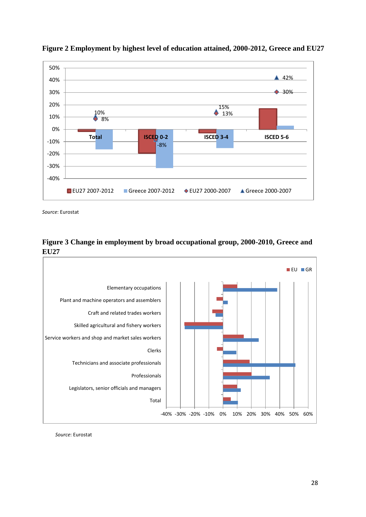



*Source*: Eurostat





*Source*: Eurostat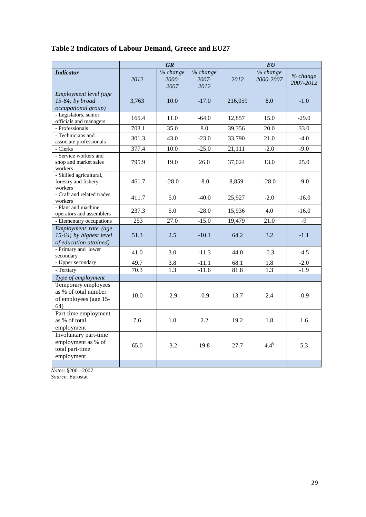| Table 2 Indicators of Labour Demand, Greece and EU27 |  |  |  |  |
|------------------------------------------------------|--|--|--|--|
|------------------------------------------------------|--|--|--|--|

|                                                                              | <b>GR</b> |                           |                           | E U     |                       |                       |
|------------------------------------------------------------------------------|-----------|---------------------------|---------------------------|---------|-----------------------|-----------------------|
| <b>Indicator</b>                                                             | 2012      | % change<br>2000-<br>2007 | % change<br>2007-<br>2012 | 2012    | % change<br>2000-2007 | % change<br>2007-2012 |
| Employment level (age<br>$15-64$ ; by broad<br><i>occupational group</i> )   | 3,763     | 10.0                      | $-17.0$                   | 216,059 | 8.0                   | $-1.0$                |
| - Legislators, senior<br>officials and managers                              | 165.4     | 11.0                      | $-64.0$                   | 12,857  | 15.0                  | $-29.0$               |
| - Professionals                                                              | 703.1     | 35.0                      | $\overline{8.0}$          | 39,356  | $\overline{20.0}$     | 33.0                  |
| - Technicians and<br>associate professionals                                 | 301.3     | 43.0                      | $-23.0$                   | 33,790  | 21.0                  | $-4.0$                |
| - Clerks                                                                     | 377.4     | 10.0                      | $-25.0$                   | 21,111  | $-2.0$                | $-9.0$                |
| - Service workers and<br>shop and market sales<br>workers                    | 795.9     | 19.0                      | 26.0                      | 37,024  | 13.0                  | 25.0                  |
| - Skilled agricultural,<br>forestry and fishery<br>workers                   | 461.7     | $-28.0$                   | $-8.0$                    | 8,859   | $-28.0$               | $-9.0$                |
| - Craft and related trades<br>workers                                        | 411.7     | 5.0                       | $-40.0$                   | 25,927  | $-2.0$                | $-16.0$               |
| - Plant and machine<br>operators and assemblers                              | 237.3     | 5.0                       | $-28.0$                   | 15,936  | 4.0                   | $-16.0$               |
| - Elementary occupations                                                     | 253       | 27.0                      | $-15.0$                   | 19,479  | 21.0                  | $-9$                  |
| Employment rate (age<br>15-64; by highest level<br>of education attained)    | 51.3      | 2.5                       | $-10.1$                   | 64.2    | 3.2                   | $-1.1$                |
| - Primary and lower<br>secondary                                             | 41.0      | 3.0                       | $-11.3$                   | 44.0    | $-0.3$                | $-4.5$                |
| - Upper secondary                                                            | 49.7      | 3.8                       | $-11.1$                   | 68.1    | 1.8                   | $-2.0$                |
| - Tertiary                                                                   | 70.3      | 1.3                       | $-11.6$                   | 81.8    | 1.3                   | $-1.9$                |
| Type of employment                                                           |           |                           |                           |         |                       |                       |
| Temporary employees<br>as % of total number<br>of employees (age 15-<br>64)  | 10.0      | $-2.9$                    | $-0.9$                    | 13.7    | 2.4                   | $-0.9$                |
| Part-time employment<br>as % of total<br>employment                          | 7.6       | 1.0                       | 2.2                       | 19.2    | 1.8                   | 1.6                   |
| Involuntary part-time<br>employment as % of<br>total part-time<br>employment | 65.0      | $-3.2$                    | 19.8                      | 27.7    | $4.4^{\$}$            | 5.3                   |
|                                                                              |           |                           |                           |         |                       |                       |

*Notes*: §2001-2007 *Source*: Eurostat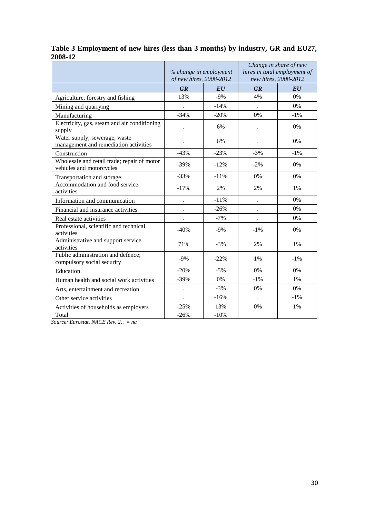|                                                                         |                      | % change in employment<br>of new hires, 2008-2012 |           | Change in share of new<br>hires in total employment of<br>new hires, 2008-2012 |
|-------------------------------------------------------------------------|----------------------|---------------------------------------------------|-----------|--------------------------------------------------------------------------------|
|                                                                         | <b>GR</b>            | E U                                               | <b>GR</b> | $\bm{E}\bm{U}$                                                                 |
| Agriculture, forestry and fishing                                       | 13%                  | $-9%$                                             | 4%        | 0%                                                                             |
| Mining and quarrying                                                    |                      | $-14%$                                            |           | $0\%$                                                                          |
| Manufacturing                                                           | $-34%$               | $-20%$                                            | 0%        | $-1\%$                                                                         |
| Electricity, gas, steam and air conditioning<br>supply                  |                      | 6%                                                |           | 0%                                                                             |
| Water supply; sewerage, waste<br>management and remediation activities  |                      | 6%                                                |           | $0\%$                                                                          |
| Construction                                                            | $-43%$               | $-23%$                                            | $-3%$     | $-1\%$                                                                         |
| Wholesale and retail trade; repair of motor<br>vehicles and motorcycles | $-39%$               | $-12%$                                            | $-2%$     | 0%                                                                             |
| Transportation and storage                                              | $-33%$               | $-11%$                                            | 0%        | 0%                                                                             |
| Accommodation and food service<br>activities                            | $-17%$               | 2%                                                | 2%        | $1\%$                                                                          |
| Information and communication                                           |                      | $-11%$                                            |           | $0\%$                                                                          |
| Financial and insurance activities                                      | $\cdot$              | $-26%$                                            |           | 0%                                                                             |
| Real estate activities                                                  |                      | $-7%$                                             |           | 0%                                                                             |
| Professional, scientific and technical<br>activities                    | $-40%$               | $-9%$                                             | $-1%$     | 0%                                                                             |
| Administrative and support service<br>activities                        | 71%                  | $-3%$                                             | 2%        | 1%                                                                             |
| Public administration and defence;<br>compulsory social security        | $-9%$                | $-22%$                                            | 1%        | $-1\%$                                                                         |
| Education                                                               | $-20%$               | $-5%$                                             | 0%        | 0%                                                                             |
| Human health and social work activities                                 | $-39%$               | 0%                                                | $-1\%$    | 1%                                                                             |
| Arts, entertainment and recreation                                      | $\ddot{\phantom{0}}$ | $-3%$                                             | 0%        | 0%                                                                             |
| Other service activities                                                |                      | $-16%$                                            |           | $-1\%$                                                                         |
| Activities of households as employers                                   | $-25%$               | 13%                                               | 0%        | 1%                                                                             |
| Total                                                                   | $-26%$               | $-10%$                                            |           |                                                                                |

### **Table 3 Employment of new hires (less than 3 months) by industry, GR and EU27, 2008-12**

*Source: Eurostat, NACE Rev. 2, . = na*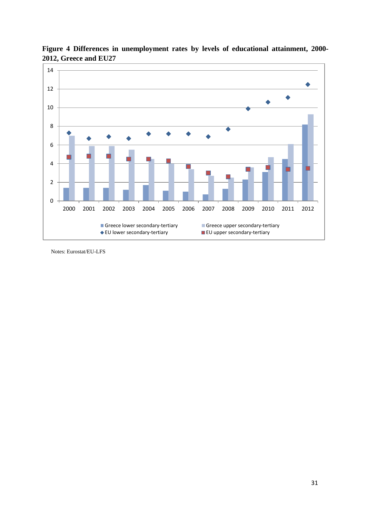

**Figure 4 Differences in unemployment rates by levels of educational attainment, 2000- 2012, Greece and EU27**

Notes: Eurostat/EU-LFS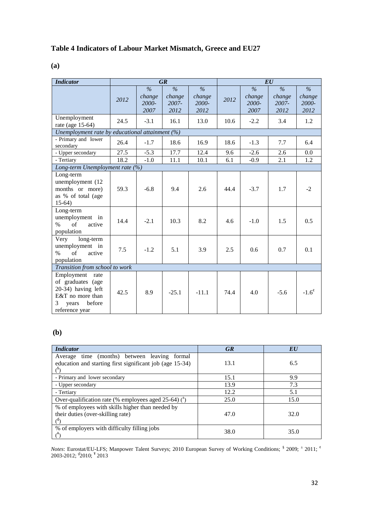# **Table 4 Indicators of Labour Market Mismatch, Greece and EU27**

| . .<br>I<br>i<br>۰.<br>۰.<br>× |
|--------------------------------|
|--------------------------------|

| <b>Indicator</b>                                                                                                            |                                |                                          | <b>GR</b>                                   |                                 | EU   |                                          |                                 |                                          |
|-----------------------------------------------------------------------------------------------------------------------------|--------------------------------|------------------------------------------|---------------------------------------------|---------------------------------|------|------------------------------------------|---------------------------------|------------------------------------------|
|                                                                                                                             | 2012                           | $\frac{6}{6}$<br>change<br>2000-<br>2007 | $\frac{1}{2}$<br>change<br>$2007 -$<br>2012 | $\%$<br>change<br>2000-<br>2012 | 2012 | $\frac{0}{6}$<br>change<br>2000-<br>2007 | $\%$<br>change<br>2007-<br>2012 | $\frac{0}{6}$<br>change<br>2000-<br>2012 |
| Unemployment<br>rate (age 15-64)                                                                                            | 24.5                           | $-3.1$                                   | 16.1                                        | 13.0                            | 10.6 | $-2.2$                                   | 3.4                             | 1.2                                      |
| Unemployment rate by educational attainment $(%)$                                                                           |                                |                                          |                                             |                                 |      |                                          |                                 |                                          |
| - Primary and lower<br>secondary                                                                                            | 26.4                           | $-1.7$                                   | 18.6                                        | 16.9                            | 18.6 | $-1.3$                                   | 7.7                             | 6.4                                      |
| - Upper secondary                                                                                                           | 27.5                           | $-5.3$                                   | 17.7                                        | 12.4                            | 9.6  | $-2.6$                                   | 2.6                             | 0.0                                      |
| - Tertiary                                                                                                                  | 18.2                           | $-1.0$                                   | 11.1                                        | 10.1                            | 6.1  | $-0.9$                                   | 2.1                             | 1.2                                      |
| Long-term Unemployment rate (%)                                                                                             |                                |                                          |                                             |                                 |      |                                          |                                 |                                          |
| Long-term<br>unemployment (12<br>months or more)<br>as % of total (age<br>$15-64)$                                          | 59.3                           | $-6.8$                                   | 9.4                                         | 2.6                             | 44.4 | $-3.7$                                   | 1.7                             | $-2$                                     |
| Long-term<br>unemployment in<br>of<br>$\%$<br>active<br>population                                                          | 14.4                           | $-2.1$                                   | 10.3                                        | 8.2                             | 4.6  | $-1.0$                                   | 1.5                             | 0.5                                      |
| long-term<br>Very<br>unemployment in<br>$\sigma$ f<br>active<br>$\%$<br>population                                          | 7.5                            | $-1.2$                                   | 5.1                                         | 3.9                             | 2.5  | 0.6                                      | 0.7                             | 0.1                                      |
|                                                                                                                             | Transition from school to work |                                          |                                             |                                 |      |                                          |                                 |                                          |
| Employment<br>rate<br>of graduates (age<br>20-34) having left<br>E&T no more than<br>before<br>3<br>years<br>reference year | 42.5                           | 8.9                                      | $-25.1$                                     | $-11.1$                         | 74.4 | 4.0                                      | $-5.6$                          | $-1.6^\circ$                             |

# **(b)**

| <b>Indicator</b>                                                                            | <b>GR</b> | EU   |
|---------------------------------------------------------------------------------------------|-----------|------|
| Average time (months) between leaving formal                                                |           |      |
| education and starting first significant job (age 15-34)                                    | 13.1      | 6.5  |
| (8)                                                                                         |           |      |
| - Primary and lower secondary                                                               | 15.1      | 9.9  |
| - Upper secondary                                                                           | 13.9      | 7.3  |
| - Tertiary                                                                                  | 12.2      | 5.1  |
| Over-qualification rate (% employees aged 25-64) $($ <sup>*</sup> )                         | 25.0      | 15.0 |
| % of employees with skills higher than needed by<br>their duties (over-skilling rate)<br>7۹ | 47.0      | 32.0 |
| % of employers with difficulty filling jobs                                                 | 38.0      | 35.0 |

*Notes*: Eurostat/EU-LFS; Manpower Talent Surveys; 2010 European Survey of Working Conditions; § 2009;  $\pm$  2011; ¢ 2003-2012; <sup>∮</sup>2010; <sup>¥</sup> 2013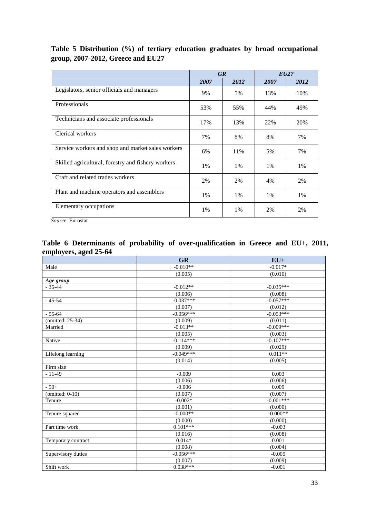# **Table 5 Distribution (%) of tertiary education graduates by broad occupational group, 2007-2012, Greece and EU27**

|                                                    |      | <b>GR</b> | EU27 |      |  |
|----------------------------------------------------|------|-----------|------|------|--|
|                                                    | 2007 | 2012      | 2007 | 2012 |  |
| Legislators, senior officials and managers         | 9%   | 5%        | 13%  | 10%  |  |
| Professionals                                      | 53%  | 55%       | 44%  | 49%  |  |
| Technicians and associate professionals            | 17%  | 13%       | 22%  | 20%  |  |
| Clerical workers                                   | 7%   | 8%        | 8%   | 7%   |  |
| Service workers and shop and market sales workers  | 6%   | 11%       | 5%   | 7%   |  |
| Skilled agricultural, forestry and fishery workers | 1%   | 1%        | 1%   | 1%   |  |
| Craft and related trades workers                   | 2%   | 2%        | 4%   | 2%   |  |
| Plant and machine operators and assemblers         | 1%   | 1%        | 1%   | 1%   |  |
| Elementary occupations                             | 1%   | 1%        | 2%   | 2%   |  |

*Source*: Eurostat

# **Table 6 Determinants of probability of over-qualification in Greece and EU+, 2011, employees, aged 25-64**

|                    | <b>GR</b>   | $EU+$       |
|--------------------|-------------|-------------|
| Male               | $-0.010**$  | $-0.017*$   |
|                    | (0.005)     | (0.010)     |
| Age group          |             |             |
| $-35-44$           | $-0.012**$  | $-0.035***$ |
|                    | (0.006)     | (0.008)     |
| $-45-54$           | $-0.037***$ | $-0.057***$ |
|                    | (0.007)     | (0.012)     |
| $-55 - 64$         | $-0.056***$ | $-0.053***$ |
| (omitted: 25-34)   | (0.009)     | (0.011)     |
| Married            | $-0.013**$  | $-0.009***$ |
|                    | (0.005)     | (0.003)     |
| Native             | $-0.114***$ | $-0.107***$ |
|                    | (0.009)     | (0.029)     |
| Lifelong learning  | $-0.049***$ | $0.011**$   |
|                    | (0.014)     | (0.005)     |
| Firm size          |             |             |
| $-11-49$           | $-0.009$    | 0.003       |
|                    | (0.006)     | (0.006)     |
| $-50+$             | $-0.006$    | 0.009       |
| (omitted: $0-10$ ) | (0.007)     | (0.007)     |
| Tenure             | $-0.002*$   | $-0.001***$ |
|                    | (0.001)     | (0.000)     |
| Tenure squared     | $-0.000**$  | $-0.000**$  |
|                    | (0.000)     | (0.000)     |
| Part time work     | $0.101***$  | $-0.003$    |
|                    | (0.016)     | (0.008)     |
| Temporary contract | $0.014*$    | 0.001       |
|                    | (0.008)     | (0.004)     |
| Supervisory duties | $-0.056***$ | $-0.005$    |
|                    | (0.007)     | (0.009)     |
| Shift work         | $0.038***$  | $-0.001$    |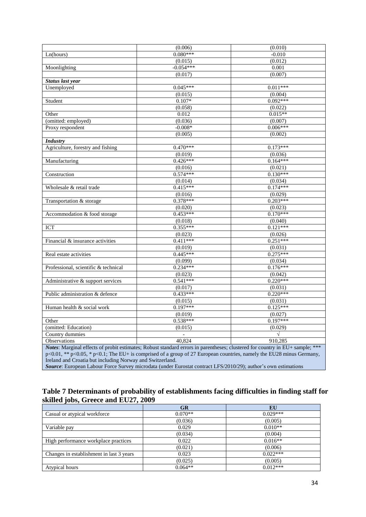|                                                                                                                              | (0.006)        | (0.010)    |
|------------------------------------------------------------------------------------------------------------------------------|----------------|------------|
| Ln(hours)                                                                                                                    | $0.080***$     | $-0.010$   |
|                                                                                                                              | (0.015)        | (0.012)    |
| Moonlighting                                                                                                                 | $-0.054***$    | 0.001      |
|                                                                                                                              | (0.017)        | (0.007)    |
| Status last year                                                                                                             |                |            |
| Unemployed                                                                                                                   | $0.045***$     | $0.011***$ |
|                                                                                                                              | (0.015)        | (0.004)    |
| Student                                                                                                                      | $0.107*$       | $0.092***$ |
|                                                                                                                              | (0.058)        | (0.022)    |
| Other                                                                                                                        | 0.012          | $0.015**$  |
| (omitted: employed)                                                                                                          | (0.036)        | (0.007)    |
| Proxy respondent                                                                                                             | $-0.008*$      | $0.006***$ |
|                                                                                                                              | (0.005)        | (0.002)    |
| <b>Industry</b>                                                                                                              |                |            |
| Agriculture, forestry and fishing                                                                                            | $0.470***$     | $0.173***$ |
|                                                                                                                              | (0.019)        | (0.036)    |
| Manufacturing                                                                                                                | $0.426***$     | $0.164***$ |
|                                                                                                                              | (0.016)        | (0.021)    |
| Construction                                                                                                                 | $0.574***$     | $0.130***$ |
|                                                                                                                              | (0.014)        | (0.034)    |
| Wholesale & retail trade                                                                                                     | $0.415***$     | $0.174***$ |
|                                                                                                                              | (0.016)        | (0.029)    |
| Transportation & storage                                                                                                     | $0.378***$     | $0.203***$ |
|                                                                                                                              | (0.020)        | (0.023)    |
| Accommodation & food storage                                                                                                 | $0.453***$     | $0.170***$ |
|                                                                                                                              | (0.018)        | (0.040)    |
| ICT                                                                                                                          | $0.355***$     | $0.121***$ |
|                                                                                                                              | (0.023)        | (0.026)    |
| Financial & insurance activities                                                                                             | $0.411***$     | $0.251***$ |
|                                                                                                                              | (0.019)        | (0.031)    |
| Real estate activities                                                                                                       | $0.445***$     | $0.275***$ |
|                                                                                                                              | (0.099)        | (0.034)    |
| Professional, scientific & technical                                                                                         | $0.234***$     | $0.176***$ |
|                                                                                                                              | (0.023)        | (0.042)    |
| Administrative & support services                                                                                            | $0.541***$     | $0.220***$ |
|                                                                                                                              | (0.017)        | (0.031)    |
| Public administration & defence                                                                                              | $0.433***$     | $0.220***$ |
|                                                                                                                              | (0.015)        | (0.031)    |
| Human health & social work                                                                                                   | $0.197***$     | $0.125***$ |
|                                                                                                                              | (0.019)        | (0.027)    |
| Other                                                                                                                        | $0.538***$     | $0.197***$ |
| (omitted: Education)                                                                                                         | (0.015)        | (0.029)    |
| Country dummies                                                                                                              | $\overline{a}$ | $\sqrt{ }$ |
| Observations                                                                                                                 | 40.824         | 910,285    |
| Notes: Marginal effects of probit estimates; Robust standard errors in parentheses; clustered for country in EU+ sample; *** |                |            |
| p<0.01, ** p<0.05, * p<0.1; The EU+ is comprised of a group of 27 European countries, namely the EU28 minus Germany,         |                |            |
| Ireland and Croatia but including Norway and Switzerland.                                                                    |                |            |

*Source*: European Labour Force Survey microdata (under Eurostat contract LFS/2010/29); author's own estimations

# **Table 7 Determinants of probability of establishments facing difficulties in finding staff for skilled jobs, Greece and EU27, 2009**

|                                          | GR        | EU         |
|------------------------------------------|-----------|------------|
| Casual or atypical workforce             | $0.070**$ | $0.029***$ |
|                                          | (0.036)   | (0.005)    |
| Variable pay                             | 0.029     | $0.010**$  |
|                                          | (0.034)   | (0.004)    |
| High performance workplace practices     | 0.022     | $0.016**$  |
|                                          | (0.021)   | (0.006)    |
| Changes in establishment in last 3 years | 0.023     | $0.022***$ |
|                                          | (0.025)   | (0.005)    |
| Atypical hours                           | $0.064**$ | $0.012***$ |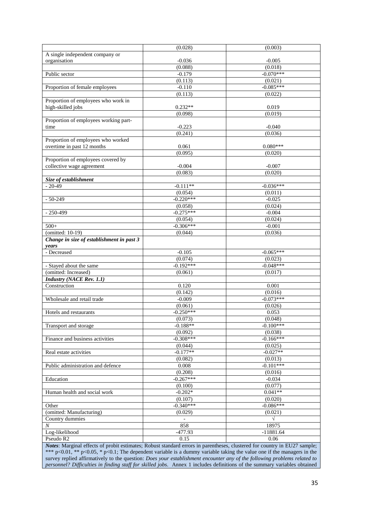|                                                                 | (0.028)             | (0.003)     |
|-----------------------------------------------------------------|---------------------|-------------|
| A single independent company or                                 |                     |             |
| organisation                                                    | $-0.036$            | $-0.005$    |
|                                                                 | (0.088)             | (0.018)     |
| Public sector                                                   | $-0.179$            | $-0.070***$ |
|                                                                 | (0.113)             | (0.021)     |
| Proportion of female employees                                  | $-0.110$            | $-0.085***$ |
|                                                                 | (0.113)             | (0.022)     |
| Proportion of employees who work in                             |                     |             |
| high-skilled jobs                                               | $0.232**$           | 0.019       |
|                                                                 | (0.098)             | (0.019)     |
| Proportion of employees working part-                           |                     |             |
| time                                                            | $-0.223$            | $-0.040$    |
|                                                                 | (0.241)             | (0.036)     |
| Proportion of employees who worked                              |                     |             |
| overtime in past 12 months                                      | 0.061               | $0.080***$  |
|                                                                 | (0.095)             | (0.020)     |
| Proportion of employees covered by<br>collective wage agreement |                     |             |
|                                                                 | $-0.004$<br>(0.083) | $-0.007$    |
|                                                                 |                     | (0.020)     |
| Size of establishment<br>$-20-49$                               | $-0.111**$          | $-0.036***$ |
|                                                                 | (0.054)             | (0.011)     |
| $-50-249$                                                       | $-0.220***$         | $-0.025$    |
|                                                                 | (0.058)             | (0.024)     |
| $-250 - 499$                                                    | $-0.275***$         | $-0.004$    |
|                                                                 | (0.054)             | (0.024)     |
| $500+$                                                          | $-0.306***$         | $-0.001$    |
| (omitted: 10-19)                                                | (0.044)             | (0.036)     |
| Change in size of establishment in past 3                       |                     |             |
| years                                                           |                     |             |
| - Decreased                                                     | $-0.105$            | $-0.065***$ |
|                                                                 | (0.074)             | (0.023)     |
| - Stayed about the same                                         | $-0.192***$         | $-0.048***$ |
| (omitted: Increased)                                            | (0.061)             | (0.017)     |
| <b>Industry (NACE Rev. 1.1)</b>                                 |                     |             |
| Construction                                                    | 0.120               | 0.001       |
|                                                                 | (0.142)             | (0.016)     |
| Wholesale and retail trade                                      | $-0.009$            | $-0.073***$ |
|                                                                 | (0.061)             | (0.026)     |
| Hotels and restaurants                                          | $-0.250***$         | 0.053       |
|                                                                 | (0.073)             | (0.048)     |
| Transport and storage                                           | $-0.188**$          | $-0.100***$ |
|                                                                 | (0.092)             | (0.038)     |
| Finance and business activities                                 | $-0.308***$         | $-0.166***$ |
|                                                                 | (0.044)             | (0.025)     |
| Real estate activities                                          | $-0.177**$          | $-0.027**$  |
|                                                                 | (0.082)             | (0.013)     |
| Public administration and defence                               | 0.008               | $-0.101***$ |
|                                                                 | (0.208)             | (0.016)     |
| Education                                                       | $-0.267***$         | $-0.034$    |
|                                                                 | (0.100)             | (0.077)     |
| Human health and social work                                    | $-0.202*$           | $0.041**$   |
|                                                                 | (0.107)             | (0.020)     |
| Other                                                           | $-0.340***$         | $-0.086***$ |
| (omitted: Manufacturing)                                        | (0.029)             | (0.021)     |
| Country dummies                                                 |                     | $\sqrt{2}$  |
| $\cal N$                                                        |                     |             |
|                                                                 | 858                 | 18975       |
| Log-likelihood                                                  | $-477.93$           | $-11881.64$ |
| Pseudo R <sub>2</sub>                                           | 0.15                | 0.06        |

\*\*\* p<0.01, \*\* p<0.05, \* p<0.1; The dependent variable is a dummy variable taking the value one if the managers in the survey replied affirmatively to the question: *Does your establishment encounter any of the following problems related to personnel? Difficulties in finding staff for skilled jobs*. Annex 1 includes definitions of the summary variables obtained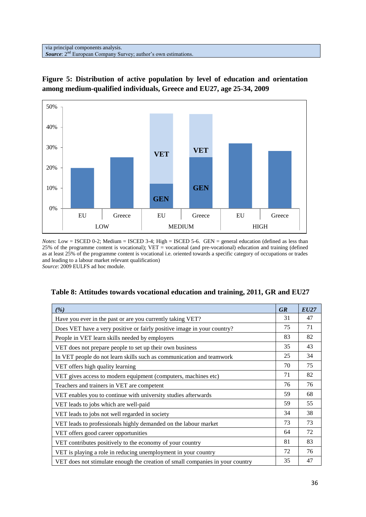via principal components analysis. **Source:** 2<sup>nd</sup> European Company Survey; author's own estimations.



**Figure 5: Distribution of active population by level of education and orientation among medium-qualified individuals, Greece and EU27, age 25-34, 2009**

*Notes*: Low = ISCED 0-2; Medium = ISCED 3-4; High = ISCED 5-6. GEN = general education (defined as less than 25% of the programme content is vocational); VET = vocational (and pre-vocational) education and training (defined as at least 25% of the programme content is vocational i.e. oriented towards a specific category of occupations or trades and leading to a labour market relevant qualification) *Source*: 2009 EULFS ad hoc module.

| ( %)                                                                          | <b>GR</b> | EU27 |
|-------------------------------------------------------------------------------|-----------|------|
| Have you ever in the past or are you currently taking VET?                    | 31        | 47   |
| Does VET have a very positive or fairly positive image in your country?       | 75        | 71   |
| People in VET learn skills needed by employers                                | 83        | 82   |
| VET does not prepare people to set up their own business                      | 35        | 43   |
| In VET people do not learn skills such as communication and teamwork          | 25        | 34   |
| VET offers high quality learning                                              | 70        | 75   |
| VET gives access to modern equipment (computers, machines etc)                | 71        | 82   |
| Teachers and trainers in VET are competent                                    | 76        | 76   |
| VET enables you to continue with university studies afterwards                | 59        | 68   |
| VET leads to jobs which are well-paid                                         | 59        | 55   |
| VET leads to jobs not well regarded in society                                | 34        | 38   |
| VET leads to professionals highly demanded on the labour market               | 73        | 73   |
| VET offers good career opportunities                                          | 64        | 72   |
| VET contributes positively to the economy of your country                     | 81        | 83   |
| VET is playing a role in reducing unemployment in your country                | 72        | 76   |
| VET does not stimulate enough the creation of small companies in your country | 35        | 47   |

| Table 8: Attitudes towards vocational education and training, 2011, GR and EU27 |  |  |
|---------------------------------------------------------------------------------|--|--|
|---------------------------------------------------------------------------------|--|--|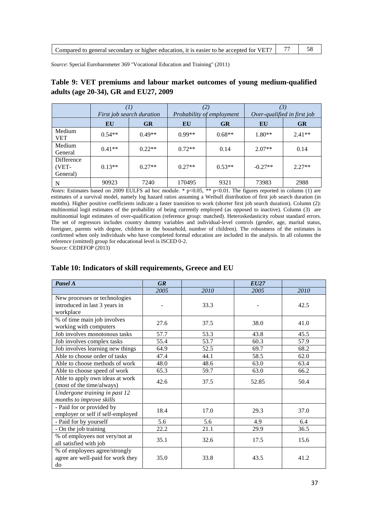| Compared to general secondary or higher education, it is easier to be accepted for VET? $\begin{array}{ccc} \vert & 77 & \vert & \cdots \end{array}$ |  |
|------------------------------------------------------------------------------------------------------------------------------------------------------|--|
|                                                                                                                                                      |  |

*Source*: Special Eurobarometer 369 "Vocational Education and Training" (2011)

# **Table 9: VET premiums and labour market outcomes of young medium-qualified adults (age 20-34), GR and EU27, 2009**

|                                 |          | First job search duration |          | (2)<br>Probability of employment |           | (3)<br>Over-qualified in first job |  |
|---------------------------------|----------|---------------------------|----------|----------------------------------|-----------|------------------------------------|--|
|                                 | EU       | <b>GR</b>                 | EU       | <b>GR</b>                        | EU        | <b>GR</b>                          |  |
| Medium<br><b>VET</b>            | $0.54**$ | $0.49**$                  | $0.99**$ | $0.68**$                         | $1.80**$  | $2.41**$                           |  |
| Medium<br>General               | $0.41**$ | $0.22**$                  | $0.72**$ | 0.14                             | $2.07**$  | 0.14                               |  |
| Difference<br>(VET-<br>General) | $0.13**$ | $0.27**$                  | $0.27**$ | $0.53**$                         | $-0.27**$ | $2.27**$                           |  |
| N                               | 90923    | 7240                      | 170495   | 9321                             | 73983     | 2988                               |  |

*Notes*: Estimates based on 2009 EULFS ad hoc module. \* p<0.05, \*\* p<0.01. The figures reported in column (1) are estimates of a survival model, namely log hazard ratios assuming a Weibull distribution of first job search duration (in months). Higher positive coefficients indicate a faster transition to work (shorter first job search duration). Column (2): multinomial logit estimates of the probability of being currently employed (as opposed to inactive). Column (3) are multinomial logit estimates of over-qualification (reference group: matched). Heteroskedasticity robust standard errors. The set of regressors includes country dummy variables and individual-level controls (gender, age, marital status, foreigner, parents with degree, children in the household, number of children). The robustness of the estimates is confirmed when only individuals who have completed formal education are included in the analysis. In all columns the reference (omitted) group for educational level is ISCED 0-2.

Source: CEDEFOP (2013)

### **Table 10: Indicators of skill requirements, Greece and EU**

| Panel A                                                                     | <b>GR</b> |      | <b>EU27</b> |      |
|-----------------------------------------------------------------------------|-----------|------|-------------|------|
|                                                                             | 2005      | 2010 | 2005        | 2010 |
| New processes or technologies<br>introduced in last 3 years in<br>workplace |           | 33.3 |             | 42.5 |
| % of time main job involves<br>working with computers                       | 27.6      | 37.5 | 38.0        | 41.0 |
| Job involves monotonous tasks                                               | 57.7      | 53.3 | 43.8        | 45.5 |
| Job involves complex tasks                                                  | 55.4      | 53.7 | 60.3        | 57.9 |
| Job involves learning new things                                            | 64.9      | 52.5 | 69.7        | 68.2 |
| Able to choose order of tasks                                               | 47.4      | 44.1 | 58.5        | 62.0 |
| Able to choose methods of work                                              | 48.0      | 48.6 | 63.0        | 63.4 |
| Able to choose speed of work                                                | 65.3      | 59.7 | 63.0        | 66.2 |
| Able to apply own ideas at work<br>(most of the time/always)                | 42.6      | 37.5 | 52.85       | 50.4 |
| Undergone training in past 12<br>months to improve skills                   |           |      |             |      |
| - Paid for or provided by<br>employer or self if self-employed              | 18.4      | 17.0 | 29.3        | 37.0 |
| - Paid for by yourself                                                      | 5.6       | 5.6  | 4.9         | 6.4  |
| - On the job training                                                       | 22.2      | 21.1 | 29.9        | 36.5 |
| % of employees not very/not at<br>all satisfied with job                    | 35.1      | 32.6 | 17.5        | 15.6 |
| % of employees agree/strongly<br>agree are well-paid for work they<br>do    | 35.0      | 33.8 | 43.5        | 41.2 |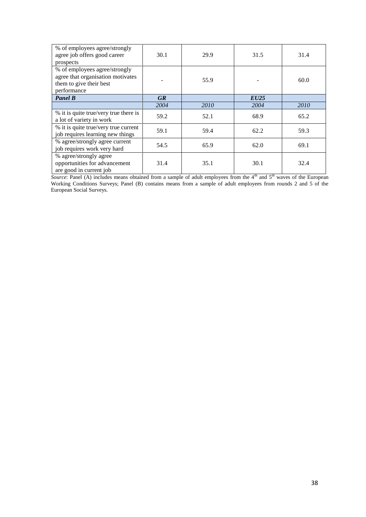| % of employees agree/strongly<br>agree job offers good career<br>prospects                                   | 30.1      | 29.9 | 31.5        | 31.4 |
|--------------------------------------------------------------------------------------------------------------|-----------|------|-------------|------|
| % of employees agree/strongly<br>agree that organisation motivates<br>them to give their best<br>performance |           | 55.9 |             | 60.0 |
| <b>Panel B</b>                                                                                               | <b>GR</b> |      | <b>EU25</b> |      |
|                                                                                                              | 2004      | 2010 | 2004        | 2010 |
| % it is quite true/very true there is<br>a lot of variety in work                                            | 59.2      | 52.1 | 68.9        | 65.2 |
| % it is quite true/very true current<br>job requires learning new things                                     | 59.1      | 59.4 | 62.2        | 59.3 |
| % agree/strongly agree current<br>job requires work very hard                                                | 54.5      | 65.9 | 62.0        | 69.1 |
| % agree/strongly agree<br>opportunities for advancement<br>are good in current job                           | 31.4      | 35.1 | 30.1        | 32.4 |

*Source*: Panel (A) includes means obtained from a sample of adult employees from the  $4<sup>th</sup>$  and  $5<sup>th</sup>$  waves of the European Working Conditions Surveys; Panel (B) contains means from a sample of adult employees from rounds 2 and 5 of the European Social Surveys.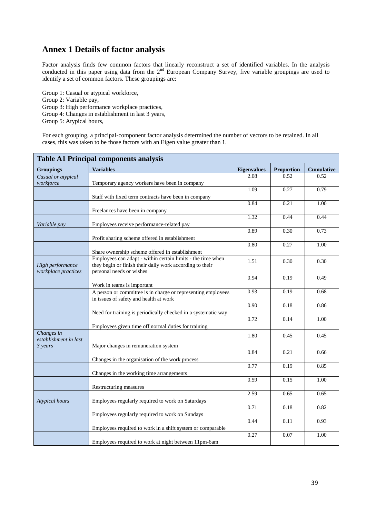# **Annex 1 Details of factor analysis**

Factor analysis finds few common factors that linearly reconstruct a set of identified variables. In the analysis conducted in this paper using data from the 2<sup>nd</sup> European Company Survey, five variable groupings are used to identify a set of common factors. These groupings are:

Group 1: Casual or atypical workforce, Group 2: Variable pay, Group 3: High performance workplace practices, Group 4: Changes in establishment in last 3 years, Group 5: Atypical hours,

For each grouping, a principal-component factor analysis determined the number of vectors to be retained. In all cases, this was taken to be those factors with an Eigen value greater than 1.

| <b>Table A1 Principal components analysis</b> |                                                               |                    |                   |                   |  |
|-----------------------------------------------|---------------------------------------------------------------|--------------------|-------------------|-------------------|--|
| <b>Groupings</b>                              | <b>Variables</b>                                              | <b>Eigenvalues</b> | <b>Proportion</b> | <b>Cumulative</b> |  |
| Casual or atypical                            |                                                               | 2.08               | 0.52              | 0.52              |  |
| workforce                                     | Temporary agency workers have been in company                 |                    |                   |                   |  |
|                                               |                                                               | 1.09               | 0.27              | 0.79              |  |
|                                               | Staff with fixed term contracts have been in company          |                    |                   |                   |  |
|                                               |                                                               | 0.84               | 0.21              | 1.00              |  |
|                                               | Freelances have been in company                               | 1.32               | 0.44              | 0.44              |  |
|                                               |                                                               |                    |                   |                   |  |
| Variable pay                                  | Employees receive performance-related pay                     | 0.89               | 0.30              | 0.73              |  |
|                                               | Profit sharing scheme offered in establishment                |                    |                   |                   |  |
|                                               |                                                               | 0.80               | 0.27              | 1.00              |  |
|                                               | Share ownership scheme offered in establishment               |                    |                   |                   |  |
|                                               | Employees can adapt - within certain limits - the time when   |                    |                   |                   |  |
| High performance                              | they begin or finish their daily work according to their      | 1.51               | 0.30              | 0.30              |  |
| workplace practices                           | personal needs or wishes                                      |                    |                   |                   |  |
|                                               |                                                               | 0.94               | 0.19              | 0.49              |  |
|                                               | Work in teams is important                                    |                    |                   |                   |  |
|                                               | A person or committee is in charge or representing employees  | 0.93               | 0.19              | 0.68              |  |
|                                               | in issues of safety and health at work                        |                    |                   |                   |  |
|                                               |                                                               | 0.90               | 0.18              | 0.86              |  |
|                                               | Need for training is periodically checked in a systematic way |                    |                   |                   |  |
|                                               |                                                               | 0.72               | 0.14              | 1.00              |  |
|                                               | Employees given time off normal duties for training           |                    |                   |                   |  |
| Changes in<br>establishment in last           |                                                               | 1.80               | 0.45              | 0.45              |  |
| 3 years                                       | Major changes in remuneration system                          |                    |                   |                   |  |
|                                               |                                                               | 0.84               | 0.21              | 0.66              |  |
|                                               | Changes in the organisation of the work process               |                    |                   |                   |  |
|                                               |                                                               | 0.77               | 0.19              | 0.85              |  |
|                                               | Changes in the working time arrangements                      |                    |                   |                   |  |
|                                               |                                                               | 0.59               | 0.15              | 1.00              |  |
|                                               | Restructuring measures                                        |                    |                   |                   |  |
|                                               |                                                               | 2.59               | 0.65              | 0.65              |  |
| Atypical hours                                | Employees regularly required to work on Saturdays             |                    |                   |                   |  |
|                                               |                                                               | 0.71               | 0.18              | 0.82              |  |
|                                               | Employees regularly required to work on Sundays               |                    |                   |                   |  |
|                                               |                                                               | 0.44               | 0.11              | 0.93              |  |
|                                               | Employees required to work in a shift system or comparable    | 0.27               | 0.07              |                   |  |
|                                               |                                                               |                    |                   | 1.00              |  |
|                                               | Employees required to work at night between 11pm-6am          |                    |                   |                   |  |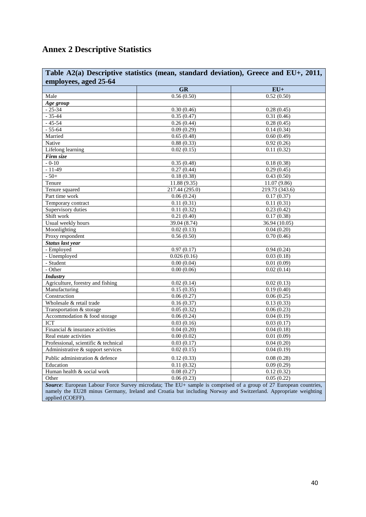# **Annex 2 Descriptive Statistics**

| Table A2(a) Descriptive statistics (mean, standard deviation), Greece and EU+, 2011,                                               |                                                                                                                  |                            |  |  |  |
|------------------------------------------------------------------------------------------------------------------------------------|------------------------------------------------------------------------------------------------------------------|----------------------------|--|--|--|
| employees, aged 25-64                                                                                                              |                                                                                                                  |                            |  |  |  |
|                                                                                                                                    | <b>GR</b>                                                                                                        | $EU+$                      |  |  |  |
| Male                                                                                                                               | 0.56(0.50)                                                                                                       | 0.52(0.50)                 |  |  |  |
| Age group                                                                                                                          |                                                                                                                  |                            |  |  |  |
| $-25 - 34$                                                                                                                         | 0.30(0.46)                                                                                                       | 0.28(0.45)                 |  |  |  |
| $-35-44$                                                                                                                           | 0.35(0.47)                                                                                                       | 0.31(0.46)                 |  |  |  |
| $-45-54$                                                                                                                           | 0.26(0.44)                                                                                                       | 0.28(0.45)                 |  |  |  |
| $-55 - 64$                                                                                                                         | 0.09(0.29)                                                                                                       | 0.14(0.34)                 |  |  |  |
| Married                                                                                                                            | 0.65(0.48)                                                                                                       | 0.60(0.49)                 |  |  |  |
| Native                                                                                                                             | 0.88(0.33)                                                                                                       | 0.92(0.26)                 |  |  |  |
| Lifelong learning                                                                                                                  | 0.02(0.15)                                                                                                       | 0.11(0.32)                 |  |  |  |
| Firm size                                                                                                                          |                                                                                                                  |                            |  |  |  |
| $-0-10$                                                                                                                            | 0.35(0.48)                                                                                                       | 0.18(0.38)                 |  |  |  |
| $-11-49$                                                                                                                           | 0.27(0.44)                                                                                                       | 0.29(0.45)                 |  |  |  |
| $-50+$                                                                                                                             | 0.18(0.38)                                                                                                       | 0.43(0.50)                 |  |  |  |
| Tenure                                                                                                                             | 11.88 (9.35)                                                                                                     | 11.07 (9.86)               |  |  |  |
| Tenure squared                                                                                                                     | $\overline{217.44}$ (295.0)                                                                                      | 219.73 (343.6)             |  |  |  |
| Part time work                                                                                                                     | 0.06(0.24)                                                                                                       | 0.17(0.37)                 |  |  |  |
| Temporary contract                                                                                                                 | 0.11(0.31)                                                                                                       | 0.11(0.31)                 |  |  |  |
| Supervisory duties                                                                                                                 | 0.11(0.32)                                                                                                       | 0.23(0.42)                 |  |  |  |
| Shift work                                                                                                                         | 0.21(0.40)                                                                                                       | 0.17(0.38)                 |  |  |  |
| Usual weekly hours                                                                                                                 | 39.04 (8.74)                                                                                                     | 36.94 (10.05)              |  |  |  |
| Moonlighting                                                                                                                       | 0.02(0.13)                                                                                                       | 0.04(0.20)                 |  |  |  |
| Proxy respondent                                                                                                                   | 0.56(0.50)                                                                                                       | $\overline{0.70}$ $(0.46)$ |  |  |  |
| <b>Status last year</b>                                                                                                            |                                                                                                                  |                            |  |  |  |
| - Employed                                                                                                                         | 0.97(0.17)                                                                                                       | 0.94(0.24)                 |  |  |  |
| - Unemployed                                                                                                                       | 0.026(0.16)                                                                                                      | 0.03(0.18)                 |  |  |  |
| - Student                                                                                                                          | 0.00(0.04)                                                                                                       | 0.01(0.09)                 |  |  |  |
| $-$ Other                                                                                                                          | 0.00(0.06)                                                                                                       | 0.02(0.14)                 |  |  |  |
| <b>Industry</b>                                                                                                                    |                                                                                                                  |                            |  |  |  |
| Agriculture, forestry and fishing                                                                                                  | 0.02(0.14)                                                                                                       | 0.02(0.13)                 |  |  |  |
| Manufacturing                                                                                                                      | 0.15(0.35)                                                                                                       | 0.19(0.40)                 |  |  |  |
| Construction                                                                                                                       | 0.06(0.27)                                                                                                       | 0.06(0.25)                 |  |  |  |
| Wholesale & retail trade                                                                                                           | 0.16(0.37)                                                                                                       | 0.13(0.33)                 |  |  |  |
| Transportation & storage                                                                                                           | 0.05(0.32)                                                                                                       | 0.06(0.23)                 |  |  |  |
| Accommodation & food storage                                                                                                       | 0.06(0.24)                                                                                                       | 0.04(0.19)                 |  |  |  |
| <b>ICT</b>                                                                                                                         | 0.03(0.16)                                                                                                       | 0.03(0.17)                 |  |  |  |
| Financial & insurance activities                                                                                                   | 0.04(0.20)                                                                                                       | 0.04(0.18)                 |  |  |  |
| Real estate activities                                                                                                             | 0.00(0.02)                                                                                                       | 0.01(0.09)                 |  |  |  |
| Professional, scientific & technical                                                                                               | 0.03(0.17)                                                                                                       | 0.04(0.20)                 |  |  |  |
| Administrative & support services                                                                                                  | 0.02(0.15)                                                                                                       | 0.04(0.19)                 |  |  |  |
| Public administration & defence                                                                                                    | 0.12(0.33)                                                                                                       | 0.08(0.28)                 |  |  |  |
| Education                                                                                                                          | 0.11(0.32)                                                                                                       | 0.09(0.29)                 |  |  |  |
| Human health & social work                                                                                                         | 0.08(0.27)                                                                                                       | 0.12(0.32)                 |  |  |  |
| Other                                                                                                                              | $\overline{0.06}$ $(0.23)$                                                                                       | 0.05(0.22)                 |  |  |  |
|                                                                                                                                    | Source: European Labour Force Survey microdata; The EU+ sample is comprised of a group of 27 European countries, |                            |  |  |  |
| namely the EU28 minus Germany, Ireland and Croatia but including Norway and Switzerland. Appropriate weighting<br>applied (COEFF). |                                                                                                                  |                            |  |  |  |